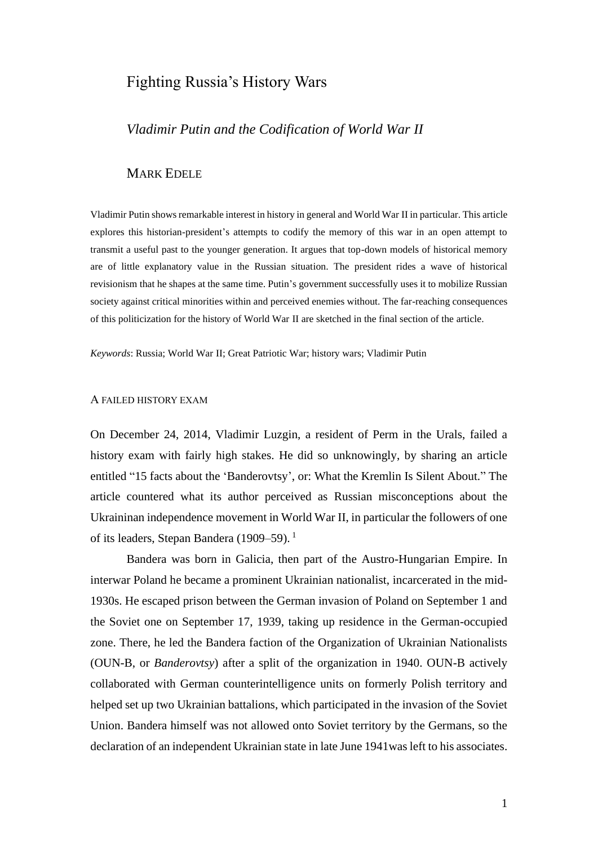# Fighting Russia's History Wars

# *Vladimir Putin and the Codification of World War II*

# MARK EDELE

Vladimir Putin shows remarkable interest in history in general and World War II in particular. This article explores this historian-president's attempts to codify the memory of this war in an open attempt to transmit a useful past to the younger generation. It argues that top-down models of historical memory are of little explanatory value in the Russian situation. The president rides a wave of historical revisionism that he shapes at the same time. Putin's government successfully uses it to mobilize Russian society against critical minorities within and perceived enemies without. The far-reaching consequences of this politicization for the history of World War II are sketched in the final section of the article.

*Keywords*: Russia; World War II; Great Patriotic War; history wars; Vladimir Putin

#### A FAILED HISTORY EXAM

On December 24, 2014, Vladimir Luzgin, a resident of Perm in the Urals, failed a history exam with fairly high stakes. He did so unknowingly, by sharing an article entitled "15 facts about the 'Banderovtsy', or: What the Kremlin Is Silent About." The article countered what its author perceived as Russian misconceptions about the Ukraininan independence movement in World War II, in particular the followers of one of its leaders, Stepan Bandera (1909–59).<sup>1</sup>

Bandera was born in Galicia, then part of the Austro-Hungarian Empire. In interwar Poland he became a prominent Ukrainian nationalist, incarcerated in the mid-1930s. He escaped prison between the German invasion of Poland on September 1 and the Soviet one on September 17, 1939, taking up residence in the German-occupied zone. There, he led the Bandera faction of the Organization of Ukrainian Nationalists (OUN-B, or *Banderovtsy*) after a split of the organization in 1940. OUN-B actively collaborated with German counterintelligence units on formerly Polish territory and helped set up two Ukrainian battalions, which participated in the invasion of the Soviet Union. Bandera himself was not allowed onto Soviet territory by the Germans, so the declaration of an independent Ukrainian state in late June 1941was left to his associates.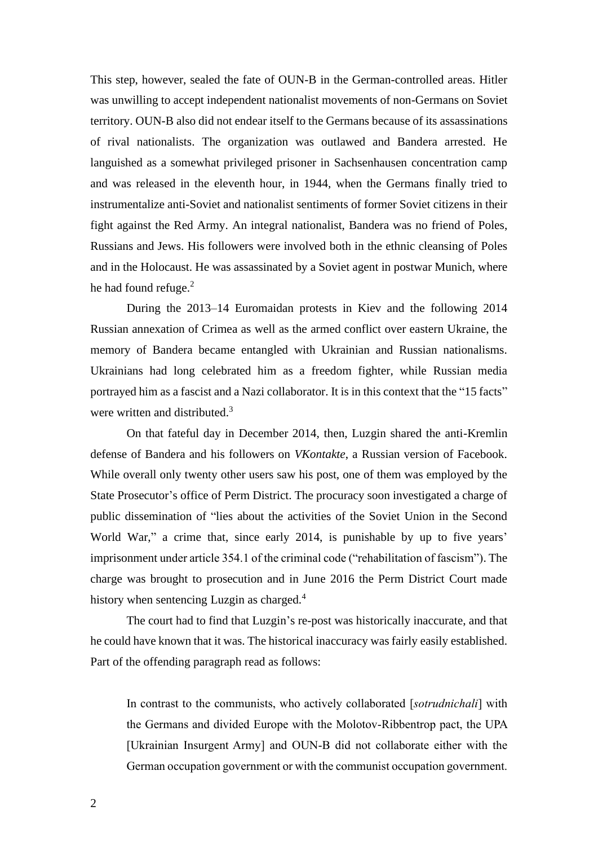This step, however, sealed the fate of OUN-B in the German-controlled areas. Hitler was unwilling to accept independent nationalist movements of non-Germans on Soviet territory. OUN-B also did not endear itself to the Germans because of its assassinations of rival nationalists. The organization was outlawed and Bandera arrested. He languished as a somewhat privileged prisoner in Sachsenhausen concentration camp and was released in the eleventh hour, in 1944, when the Germans finally tried to instrumentalize anti-Soviet and nationalist sentiments of former Soviet citizens in their fight against the Red Army. An integral nationalist, Bandera was no friend of Poles, Russians and Jews. His followers were involved both in the ethnic cleansing of Poles and in the Holocaust. He was assassinated by a Soviet agent in postwar Munich, where he had found refuge.<sup>2</sup>

During the 2013–14 Euromaidan protests in Kiev and the following 2014 Russian annexation of Crimea as well as the armed conflict over eastern Ukraine, the memory of Bandera became entangled with Ukrainian and Russian nationalisms. Ukrainians had long celebrated him as a freedom fighter, while Russian media portrayed him as a fascist and a Nazi collaborator. It is in this context that the "15 facts" were written and distributed.<sup>3</sup>

On that fateful day in December 2014, then, Luzgin shared the anti-Kremlin defense of Bandera and his followers on *VKontakte*, a Russian version of Facebook. While overall only twenty other users saw his post, one of them was employed by the State Prosecutor's office of Perm District. The procuracy soon investigated a charge of public dissemination of "lies about the activities of the Soviet Union in the Second World War," a crime that, since early 2014, is punishable by up to five years' imprisonment under article 354.1 of the criminal code ("rehabilitation of fascism"). The charge was brought to prosecution and in June 2016 the Perm District Court made history when sentencing Luzgin as charged.<sup>4</sup>

The court had to find that Luzgin's re-post was historically inaccurate, and that he could have known that it was. The historical inaccuracy was fairly easily established. Part of the offending paragraph read as follows:

In contrast to the communists, who actively collaborated [*sotrudnichali*] with the Germans and divided Europe with the Molotov-Ribbentrop pact, the UPA [Ukrainian Insurgent Army] and OUN-B did not collaborate either with the German occupation government or with the communist occupation government.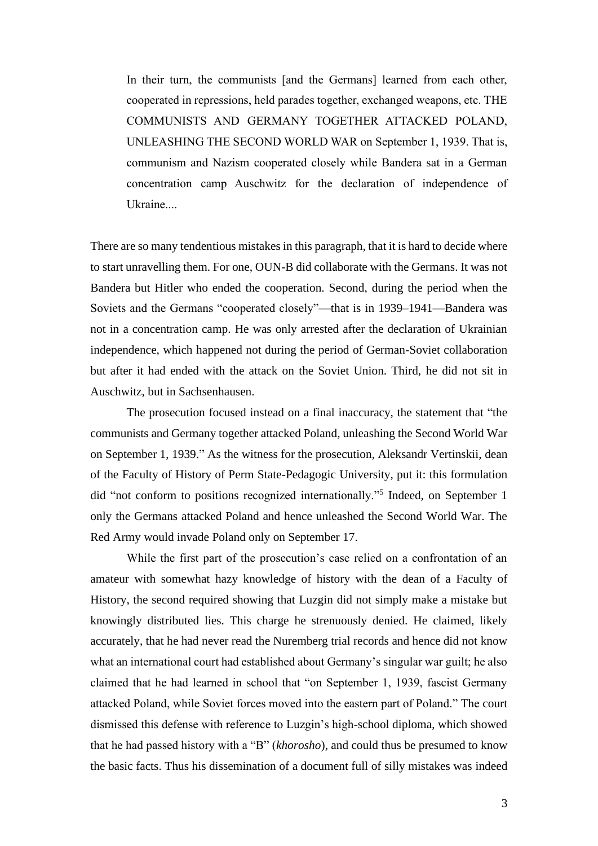In their turn, the communists [and the Germans] learned from each other, cooperated in repressions, held parades together, exchanged weapons, etc. THE COMMUNISTS AND GERMANY TOGETHER ATTACKED POLAND, UNLEASHING THE SECOND WORLD WAR on September 1, 1939. That is, communism and Nazism cooperated closely while Bandera sat in a German concentration camp Auschwitz for the declaration of independence of Ukraine....

There are so many tendentious mistakes in this paragraph, that it is hard to decide where to start unravelling them. For one, OUN-B did collaborate with the Germans. It was not Bandera but Hitler who ended the cooperation. Second, during the period when the Soviets and the Germans "cooperated closely"—that is in 1939–1941—Bandera was not in a concentration camp. He was only arrested after the declaration of Ukrainian independence, which happened not during the period of German-Soviet collaboration but after it had ended with the attack on the Soviet Union. Third, he did not sit in Auschwitz, but in Sachsenhausen.

The prosecution focused instead on a final inaccuracy, the statement that "the communists and Germany together attacked Poland, unleashing the Second World War on September 1, 1939." As the witness for the prosecution, Aleksandr Vertinskii, dean of the Faculty of History of Perm State-Pedagogic University, put it: this formulation did "not conform to positions recognized internationally."<sup>5</sup> Indeed, on September 1 only the Germans attacked Poland and hence unleashed the Second World War. The Red Army would invade Poland only on September 17.

While the first part of the prosecution's case relied on a confrontation of an amateur with somewhat hazy knowledge of history with the dean of a Faculty of History, the second required showing that Luzgin did not simply make a mistake but knowingly distributed lies. This charge he strenuously denied. He claimed, likely accurately, that he had never read the Nuremberg trial records and hence did not know what an international court had established about Germany's singular war guilt; he also claimed that he had learned in school that "on September 1, 1939, fascist Germany attacked Poland, while Soviet forces moved into the eastern part of Poland." The court dismissed this defense with reference to Luzgin's high-school diploma, which showed that he had passed history with a "B" (*khorosho*), and could thus be presumed to know the basic facts. Thus his dissemination of a document full of silly mistakes was indeed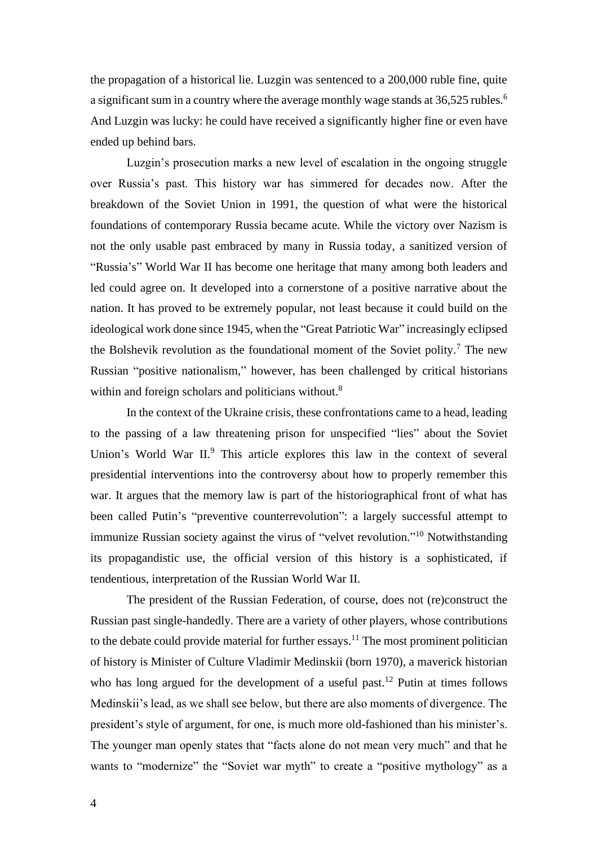the propagation of a historical lie. Luzgin was sentenced to a 200,000 ruble fine, quite a significant sum in a country where the average monthly wage stands at 36,525 rubles.<sup>6</sup> And Luzgin was lucky: he could have received a significantly higher fine or even have ended up behind bars.

Luzgin's prosecution marks a new level of escalation in the ongoing struggle over Russia's past. This history war has simmered for decades now. After the breakdown of the Soviet Union in 1991, the question of what were the historical foundations of contemporary Russia became acute. While the victory over Nazism is not the only usable past embraced by many in Russia today, a sanitized version of "Russia's" World War II has become one heritage that many among both leaders and led could agree on. It developed into a cornerstone of a positive narrative about the nation. It has proved to be extremely popular, not least because it could build on the ideological work done since 1945, when the "Great Patriotic War" increasingly eclipsed the Bolshevik revolution as the foundational moment of the Soviet polity.<sup>7</sup> The new Russian "positive nationalism," however, has been challenged by critical historians within and foreign scholars and politicians without.<sup>8</sup>

In the context of the Ukraine crisis, these confrontations came to a head, leading to the passing of a law threatening prison for unspecified "lies" about the Soviet Union's World War II.<sup>9</sup> This article explores this law in the context of several presidential interventions into the controversy about how to properly remember this war. It argues that the memory law is part of the historiographical front of what has been called Putin's "preventive counterrevolution": a largely successful attempt to immunize Russian society against the virus of "velvet revolution."<sup>10</sup> Notwithstanding its propagandistic use, the official version of this history is a sophisticated, if tendentious, interpretation of the Russian World War II.

The president of the Russian Federation, of course, does not (re)construct the Russian past single-handedly. There are a variety of other players, whose contributions to the debate could provide material for further essays.<sup>11</sup> The most prominent politician of history is Minister of Culture Vladimir Medinskii (born 1970), a maverick historian who has long argued for the development of a useful past.<sup>12</sup> Putin at times follows Medinskii's lead, as we shall see below, but there are also moments of divergence. The president's style of argument, for one, is much more old-fashioned than his minister's. The younger man openly states that "facts alone do not mean very much" and that he wants to "modernize" the "Soviet war myth" to create a "positive mythology" as a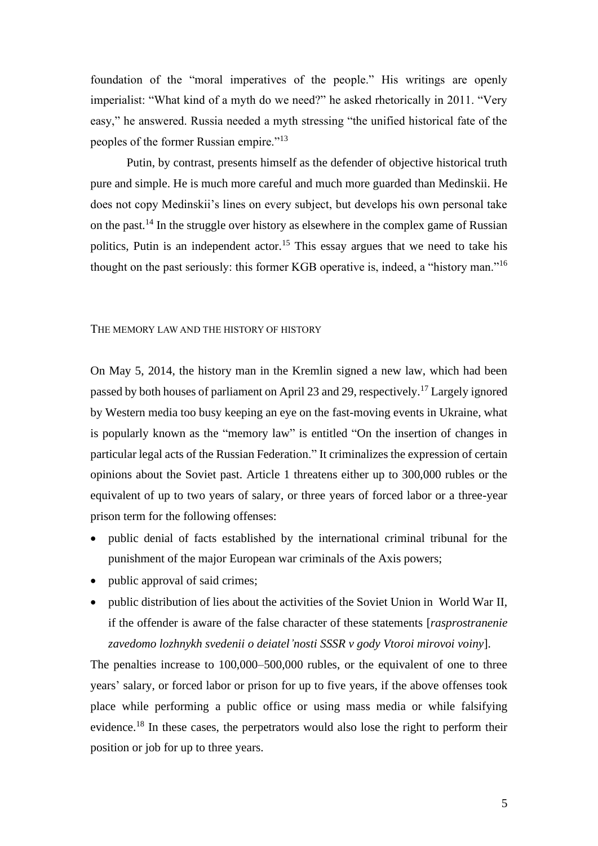foundation of the "moral imperatives of the people." His writings are openly imperialist: "What kind of a myth do we need?" he asked rhetorically in 2011. "Very easy," he answered. Russia needed a myth stressing "the unified historical fate of the peoples of the former Russian empire."<sup>13</sup>

Putin, by contrast, presents himself as the defender of objective historical truth pure and simple. He is much more careful and much more guarded than Medinskii. He does not copy Medinskii's lines on every subject, but develops his own personal take on the past.<sup>14</sup> In the struggle over history as elsewhere in the complex game of Russian politics, Putin is an independent actor.<sup>15</sup> This essay argues that we need to take his thought on the past seriously: this former KGB operative is, indeed, a "history man."<sup>16</sup>

#### THE MEMORY LAW AND THE HISTORY OF HISTORY

On May 5, 2014, the history man in the Kremlin signed a new law, which had been passed by both houses of parliament on April 23 and 29, respectively.<sup>17</sup> Largely ignored by Western media too busy keeping an eye on the fast-moving events in Ukraine, what is popularly known as the "memory law" is entitled "On the insertion of changes in particular legal acts of the Russian Federation." It criminalizes the expression of certain opinions about the Soviet past. Article 1 threatens either up to 300,000 rubles or the equivalent of up to two years of salary, or three years of forced labor or a three-year prison term for the following offenses:

- public denial of facts established by the international criminal tribunal for the punishment of the major European war criminals of the Axis powers;
- public approval of said crimes;
- public distribution of lies about the activities of the Soviet Union in World War II, if the offender is aware of the false character of these statements [*rasprostranenie zavedomo lozhnykh svedenii o deiatel'nosti SSSR v gody Vtoroi mirovoi voiny*].

The penalties increase to 100,000–500,000 rubles, or the equivalent of one to three years' salary, or forced labor or prison for up to five years, if the above offenses took place while performing a public office or using mass media or while falsifying evidence.<sup>18</sup> In these cases, the perpetrators would also lose the right to perform their position or job for up to three years.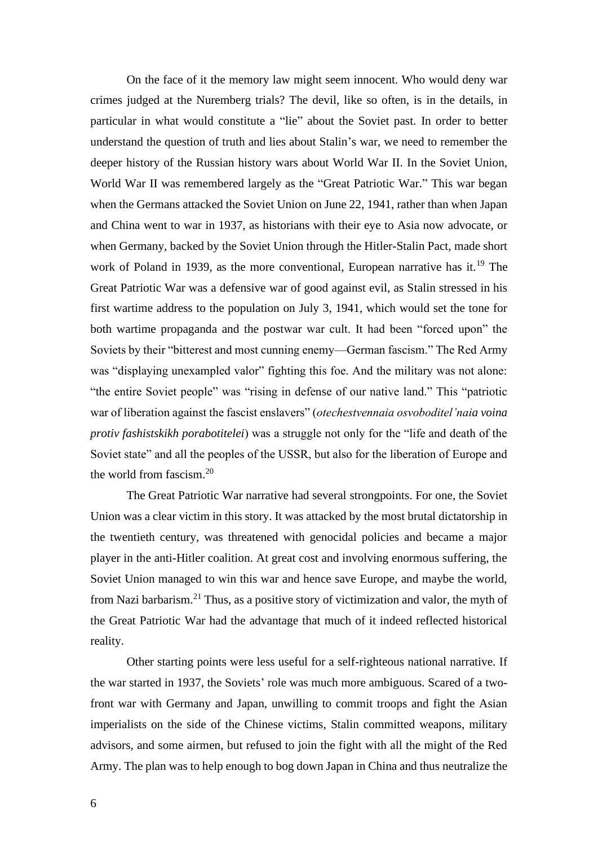On the face of it the memory law might seem innocent. Who would deny war crimes judged at the Nuremberg trials? The devil, like so often, is in the details, in particular in what would constitute a "lie" about the Soviet past. In order to better understand the question of truth and lies about Stalin's war, we need to remember the deeper history of the Russian history wars about World War II. In the Soviet Union, World War II was remembered largely as the "Great Patriotic War." This war began when the Germans attacked the Soviet Union on June 22, 1941, rather than when Japan and China went to war in 1937, as historians with their eye to Asia now advocate, or when Germany, backed by the Soviet Union through the Hitler-Stalin Pact, made short work of Poland in 1939, as the more conventional, European narrative has it.<sup>19</sup> The Great Patriotic War was a defensive war of good against evil, as Stalin stressed in his first wartime address to the population on July 3, 1941, which would set the tone for both wartime propaganda and the postwar war cult. It had been "forced upon" the Soviets by their "bitterest and most cunning enemy—German fascism." The Red Army was "displaying unexampled valor" fighting this foe. And the military was not alone: "the entire Soviet people" was "rising in defense of our native land." This "patriotic war of liberation against the fascist enslavers" (*otechestvennaia osvoboditel'naia voina protiv fashistskikh porabotitelei*) was a struggle not only for the "life and death of the Soviet state" and all the peoples of the USSR, but also for the liberation of Europe and the world from fascism.<sup>20</sup>

The Great Patriotic War narrative had several strongpoints. For one, the Soviet Union was a clear victim in this story. It was attacked by the most brutal dictatorship in the twentieth century, was threatened with genocidal policies and became a major player in the anti-Hitler coalition. At great cost and involving enormous suffering, the Soviet Union managed to win this war and hence save Europe, and maybe the world, from Nazi barbarism.<sup>21</sup> Thus, as a positive story of victimization and valor, the myth of the Great Patriotic War had the advantage that much of it indeed reflected historical reality.

Other starting points were less useful for a self-righteous national narrative. If the war started in 1937, the Soviets' role was much more ambiguous. Scared of a twofront war with Germany and Japan, unwilling to commit troops and fight the Asian imperialists on the side of the Chinese victims, Stalin committed weapons, military advisors, and some airmen, but refused to join the fight with all the might of the Red Army. The plan was to help enough to bog down Japan in China and thus neutralize the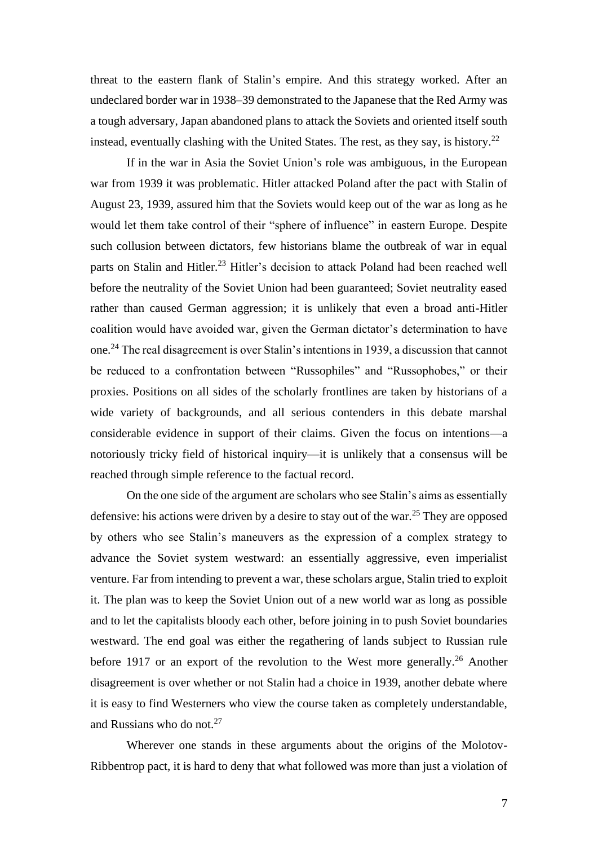threat to the eastern flank of Stalin's empire. And this strategy worked. After an undeclared border war in 1938–39 demonstrated to the Japanese that the Red Army was a tough adversary, Japan abandoned plans to attack the Soviets and oriented itself south instead, eventually clashing with the United States. The rest, as they say, is history.<sup>22</sup>

If in the war in Asia the Soviet Union's role was ambiguous, in the European war from 1939 it was problematic. Hitler attacked Poland after the pact with Stalin of August 23, 1939, assured him that the Soviets would keep out of the war as long as he would let them take control of their "sphere of influence" in eastern Europe. Despite such collusion between dictators, few historians blame the outbreak of war in equal parts on Stalin and Hitler.<sup>23</sup> Hitler's decision to attack Poland had been reached well before the neutrality of the Soviet Union had been guaranteed; Soviet neutrality eased rather than caused German aggression; it is unlikely that even a broad anti-Hitler coalition would have avoided war, given the German dictator's determination to have one.<sup>24</sup> The real disagreement is over Stalin's intentions in 1939, a discussion that cannot be reduced to a confrontation between "Russophiles" and "Russophobes," or their proxies. Positions on all sides of the scholarly frontlines are taken by historians of a wide variety of backgrounds, and all serious contenders in this debate marshal considerable evidence in support of their claims. Given the focus on intentions—a notoriously tricky field of historical inquiry—it is unlikely that a consensus will be reached through simple reference to the factual record.

On the one side of the argument are scholars who see Stalin's aims as essentially defensive: his actions were driven by a desire to stay out of the war.<sup>25</sup> They are opposed by others who see Stalin's maneuvers as the expression of a complex strategy to advance the Soviet system westward: an essentially aggressive, even imperialist venture. Far from intending to prevent a war, these scholars argue, Stalin tried to exploit it. The plan was to keep the Soviet Union out of a new world war as long as possible and to let the capitalists bloody each other, before joining in to push Soviet boundaries westward. The end goal was either the regathering of lands subject to Russian rule before 1917 or an export of the revolution to the West more generally.<sup>26</sup> Another disagreement is over whether or not Stalin had a choice in 1939, another debate where it is easy to find Westerners who view the course taken as completely understandable, and Russians who do not. $27$ 

Wherever one stands in these arguments about the origins of the Molotov-Ribbentrop pact, it is hard to deny that what followed was more than just a violation of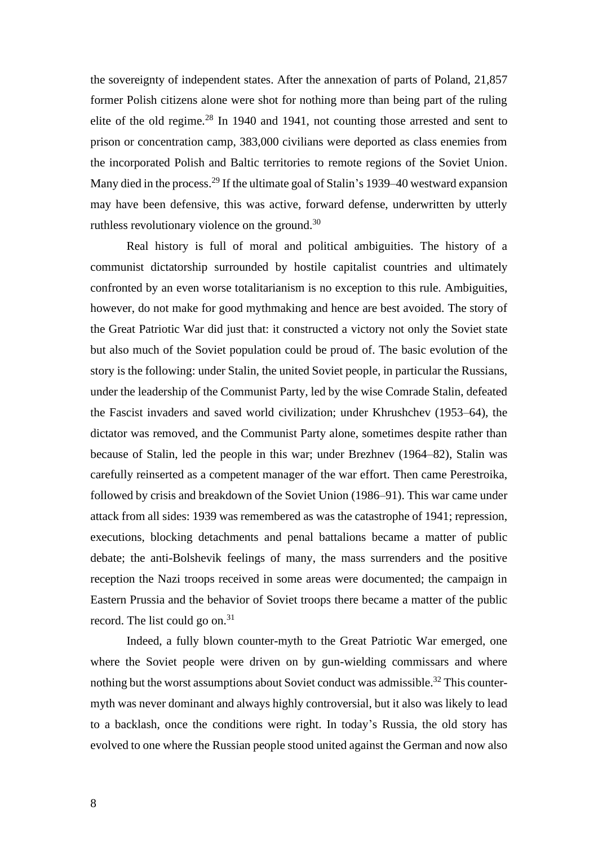the sovereignty of independent states. After the annexation of parts of Poland, 21,857 former Polish citizens alone were shot for nothing more than being part of the ruling elite of the old regime.<sup>28</sup> In 1940 and 1941, not counting those arrested and sent to prison or concentration camp, 383,000 civilians were deported as class enemies from the incorporated Polish and Baltic territories to remote regions of the Soviet Union. Many died in the process.<sup>29</sup> If the ultimate goal of Stalin's 1939–40 westward expansion may have been defensive, this was active, forward defense, underwritten by utterly ruthless revolutionary violence on the ground.<sup>30</sup>

Real history is full of moral and political ambiguities. The history of a communist dictatorship surrounded by hostile capitalist countries and ultimately confronted by an even worse totalitarianism is no exception to this rule. Ambiguities, however, do not make for good mythmaking and hence are best avoided. The story of the Great Patriotic War did just that: it constructed a victory not only the Soviet state but also much of the Soviet population could be proud of. The basic evolution of the story is the following: under Stalin, the united Soviet people, in particular the Russians, under the leadership of the Communist Party, led by the wise Comrade Stalin, defeated the Fascist invaders and saved world civilization; under Khrushchev (1953–64), the dictator was removed, and the Communist Party alone, sometimes despite rather than because of Stalin, led the people in this war; under Brezhnev (1964–82), Stalin was carefully reinserted as a competent manager of the war effort. Then came Perestroika, followed by crisis and breakdown of the Soviet Union (1986–91). This war came under attack from all sides: 1939 was remembered as was the catastrophe of 1941; repression, executions, blocking detachments and penal battalions became a matter of public debate; the anti-Bolshevik feelings of many, the mass surrenders and the positive reception the Nazi troops received in some areas were documented; the campaign in Eastern Prussia and the behavior of Soviet troops there became a matter of the public record. The list could go on.<sup>31</sup>

Indeed, a fully blown counter-myth to the Great Patriotic War emerged, one where the Soviet people were driven on by gun-wielding commissars and where nothing but the worst assumptions about Soviet conduct was admissible.<sup>32</sup> This countermyth was never dominant and always highly controversial, but it also was likely to lead to a backlash, once the conditions were right. In today's Russia, the old story has evolved to one where the Russian people stood united against the German and now also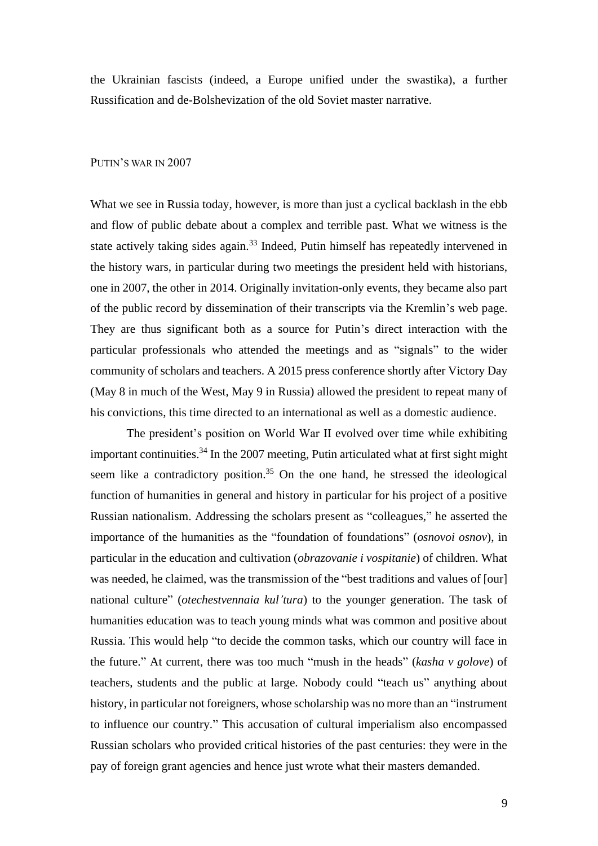the Ukrainian fascists (indeed, a Europe unified under the swastika), a further Russification and de-Bolshevization of the old Soviet master narrative.

### PUTIN'S WAR IN 2007

What we see in Russia today, however, is more than just a cyclical backlash in the ebb and flow of public debate about a complex and terrible past. What we witness is the state actively taking sides again.<sup>33</sup> Indeed, Putin himself has repeatedly intervened in the history wars, in particular during two meetings the president held with historians, one in 2007, the other in 2014. Originally invitation-only events, they became also part of the public record by dissemination of their transcripts via the Kremlin's web page. They are thus significant both as a source for Putin's direct interaction with the particular professionals who attended the meetings and as "signals" to the wider community of scholars and teachers. A 2015 press conference shortly after Victory Day (May 8 in much of the West, May 9 in Russia) allowed the president to repeat many of his convictions, this time directed to an international as well as a domestic audience.

The president's position on World War II evolved over time while exhibiting important continuities.<sup>34</sup> In the 2007 meeting, Putin articulated what at first sight might seem like a contradictory position.<sup>35</sup> On the one hand, he stressed the ideological function of humanities in general and history in particular for his project of a positive Russian nationalism. Addressing the scholars present as "colleagues," he asserted the importance of the humanities as the "foundation of foundations" (*osnovoi osnov*), in particular in the education and cultivation (*obrazovanie i vospitanie*) of children. What was needed, he claimed, was the transmission of the "best traditions and values of [our] national culture" (*otechestvennaia kul'tura*) to the younger generation. The task of humanities education was to teach young minds what was common and positive about Russia. This would help "to decide the common tasks, which our country will face in the future." At current, there was too much "mush in the heads" (*kasha v golove*) of teachers, students and the public at large. Nobody could "teach us" anything about history, in particular not foreigners, whose scholarship was no more than an "instrument to influence our country." This accusation of cultural imperialism also encompassed Russian scholars who provided critical histories of the past centuries: they were in the pay of foreign grant agencies and hence just wrote what their masters demanded.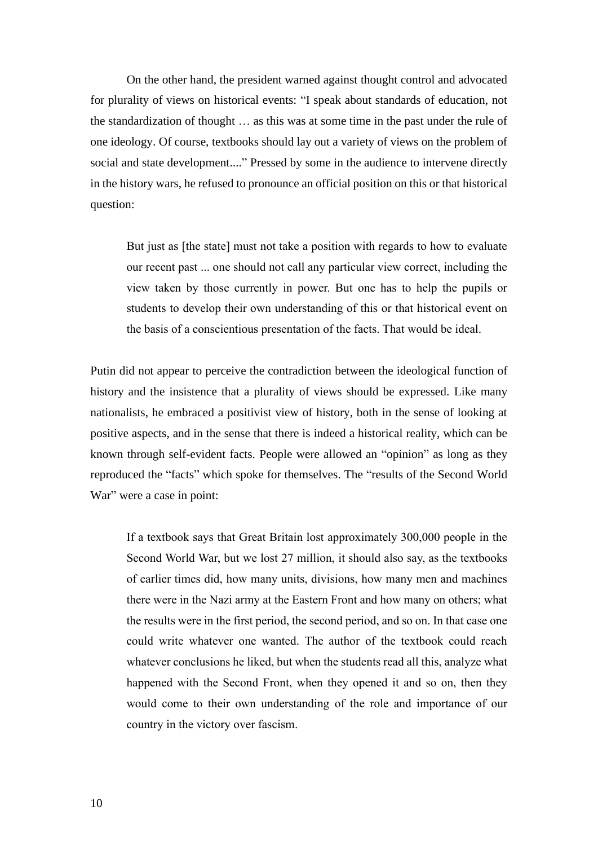On the other hand, the president warned against thought control and advocated for plurality of views on historical events: "I speak about standards of education, not the standardization of thought … as this was at some time in the past under the rule of one ideology. Of course, textbooks should lay out a variety of views on the problem of social and state development...." Pressed by some in the audience to intervene directly in the history wars, he refused to pronounce an official position on this or that historical question:

But just as [the state] must not take a position with regards to how to evaluate our recent past ... one should not call any particular view correct, including the view taken by those currently in power. But one has to help the pupils or students to develop their own understanding of this or that historical event on the basis of a conscientious presentation of the facts. That would be ideal.

Putin did not appear to perceive the contradiction between the ideological function of history and the insistence that a plurality of views should be expressed. Like many nationalists, he embraced a positivist view of history, both in the sense of looking at positive aspects, and in the sense that there is indeed a historical reality, which can be known through self-evident facts. People were allowed an "opinion" as long as they reproduced the "facts" which spoke for themselves. The "results of the Second World War" were a case in point:

If a textbook says that Great Britain lost approximately 300,000 people in the Second World War, but we lost 27 million, it should also say, as the textbooks of earlier times did, how many units, divisions, how many men and machines there were in the Nazi army at the Eastern Front and how many on others; what the results were in the first period, the second period, and so on. In that case one could write whatever one wanted. The author of the textbook could reach whatever conclusions he liked, but when the students read all this, analyze what happened with the Second Front, when they opened it and so on, then they would come to their own understanding of the role and importance of our country in the victory over fascism.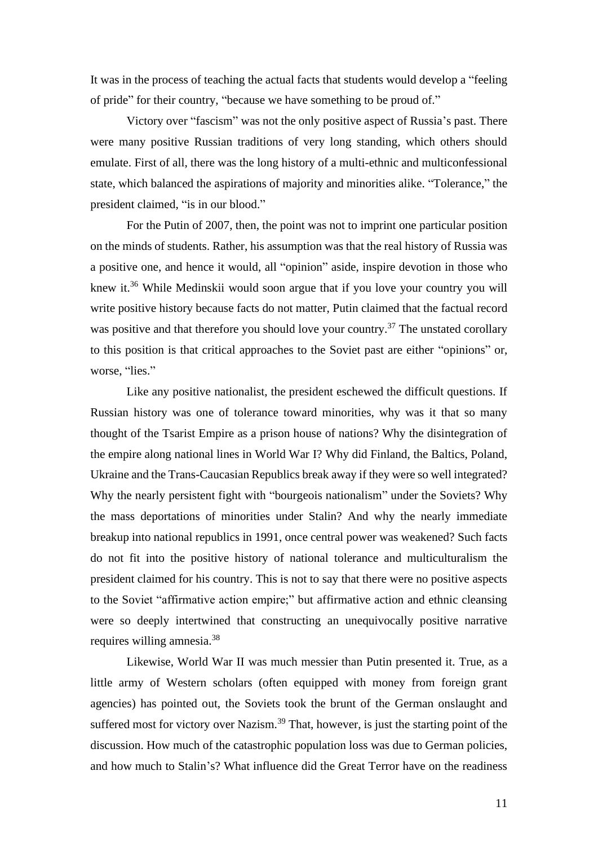It was in the process of teaching the actual facts that students would develop a "feeling of pride" for their country, "because we have something to be proud of."

Victory over "fascism" was not the only positive aspect of Russia's past. There were many positive Russian traditions of very long standing, which others should emulate. First of all, there was the long history of a multi-ethnic and multiconfessional state, which balanced the aspirations of majority and minorities alike. "Tolerance," the president claimed, "is in our blood."

For the Putin of 2007, then, the point was not to imprint one particular position on the minds of students. Rather, his assumption was that the real history of Russia was a positive one, and hence it would, all "opinion" aside, inspire devotion in those who knew it.<sup>36</sup> While Medinskii would soon argue that if you love your country you will write positive history because facts do not matter, Putin claimed that the factual record was positive and that therefore you should love your country.<sup>37</sup> The unstated corollary to this position is that critical approaches to the Soviet past are either "opinions" or, worse, "lies."

Like any positive nationalist, the president eschewed the difficult questions. If Russian history was one of tolerance toward minorities, why was it that so many thought of the Tsarist Empire as a prison house of nations? Why the disintegration of the empire along national lines in World War I? Why did Finland, the Baltics, Poland, Ukraine and the Trans-Caucasian Republics break away if they were so well integrated? Why the nearly persistent fight with "bourgeois nationalism" under the Soviets? Why the mass deportations of minorities under Stalin? And why the nearly immediate breakup into national republics in 1991, once central power was weakened? Such facts do not fit into the positive history of national tolerance and multiculturalism the president claimed for his country. This is not to say that there were no positive aspects to the Soviet "affirmative action empire;" but affirmative action and ethnic cleansing were so deeply intertwined that constructing an unequivocally positive narrative requires willing amnesia.<sup>38</sup>

Likewise, World War II was much messier than Putin presented it. True, as a little army of Western scholars (often equipped with money from foreign grant agencies) has pointed out, the Soviets took the brunt of the German onslaught and suffered most for victory over Nazism.<sup>39</sup> That, however, is just the starting point of the discussion. How much of the catastrophic population loss was due to German policies, and how much to Stalin's? What influence did the Great Terror have on the readiness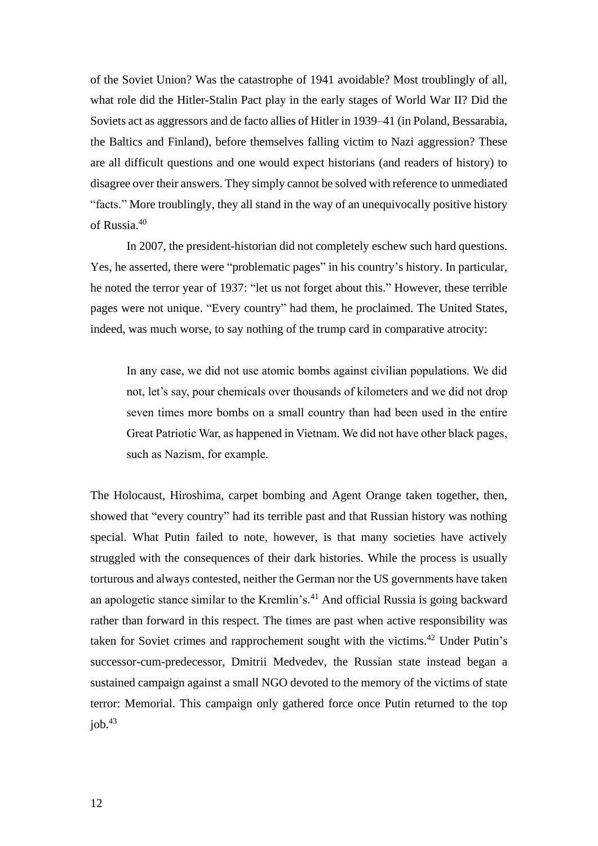of the Soviet Union? Was the catastrophe of 1941 avoidable? Most troublingly of all, what role did the Hitler-Stalin Pact play in the early stages of World War II? Did the Soviets act as aggressors and de facto allies of Hitler in 1939–41 (in Poland, Bessarabia, the Baltics and Finland), before themselves falling victim to Nazi aggression? These are all difficult questions and one would expect historians (and readers of history) to disagree over their answers. They simply cannot be solved with reference to unmediated "facts." More troublingly, they all stand in the way of an unequivocally positive history of Russia.<sup>40</sup>

In 2007, the president-historian did not completely eschew such hard questions. Yes, he asserted, there were "problematic pages" in his country's history. In particular, he noted the terror year of 1937: "let us not forget about this." However, these terrible pages were not unique. "Every country" had them, he proclaimed. The United States, indeed, was much worse, to say nothing of the trump card in comparative atrocity:

In any case, we did not use atomic bombs against civilian populations. We did not, let's say, pour chemicals over thousands of kilometers and we did not drop seven times more bombs on a small country than had been used in the entire Great Patriotic War, as happened in Vietnam. We did not have other black pages, such as Nazism, for example.

The Holocaust, Hiroshima, carpet bombing and Agent Orange taken together, then, showed that "every country" had its terrible past and that Russian history was nothing special. What Putin failed to note, however, is that many societies have actively struggled with the consequences of their dark histories. While the process is usually torturous and always contested, neither the German nor the US governments have taken an apologetic stance similar to the Kremlin's.<sup>41</sup> And official Russia is going backward rather than forward in this respect. The times are past when active responsibility was taken for Soviet crimes and rapprochement sought with the victims.<sup>42</sup> Under Putin's successor-cum-predecessor, Dmitrii Medvedev, the Russian state instead began a sustained campaign against a small NGO devoted to the memory of the victims of state terror: Memorial. This campaign only gathered force once Putin returned to the top job. $43$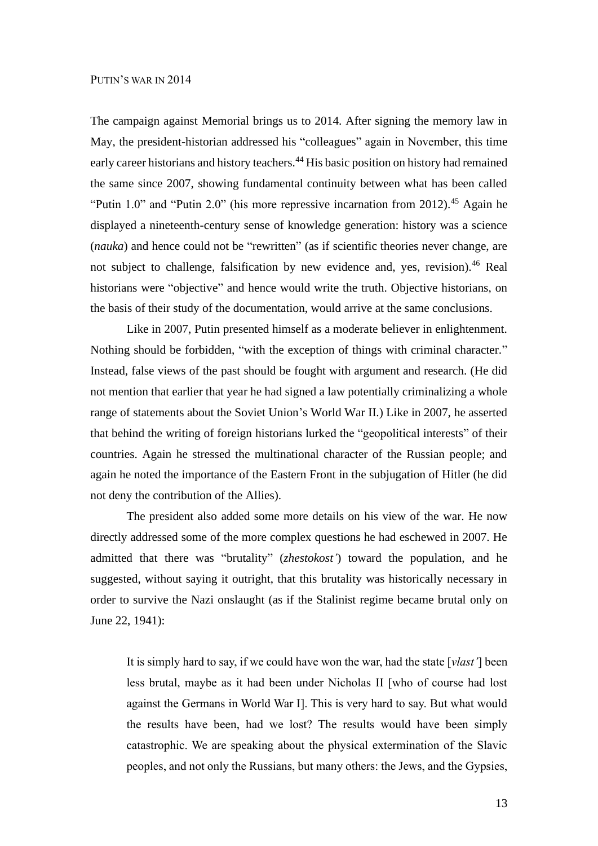### PUTIN'S WAR IN 2014

The campaign against Memorial brings us to 2014. After signing the memory law in May, the president-historian addressed his "colleagues" again in November, this time early career historians and history teachers.<sup>44</sup> His basic position on history had remained the same since 2007, showing fundamental continuity between what has been called "Putin 1.0" and "Putin 2.0" (his more repressive incarnation from 2012).<sup>45</sup> Again he displayed a nineteenth-century sense of knowledge generation: history was a science (*nauka*) and hence could not be "rewritten" (as if scientific theories never change, are not subject to challenge, falsification by new evidence and, yes, revision).<sup>46</sup> Real historians were "objective" and hence would write the truth. Objective historians, on the basis of their study of the documentation, would arrive at the same conclusions.

Like in 2007, Putin presented himself as a moderate believer in enlightenment. Nothing should be forbidden, "with the exception of things with criminal character." Instead, false views of the past should be fought with argument and research. (He did not mention that earlier that year he had signed a law potentially criminalizing a whole range of statements about the Soviet Union's World War II.) Like in 2007, he asserted that behind the writing of foreign historians lurked the "geopolitical interests" of their countries. Again he stressed the multinational character of the Russian people; and again he noted the importance of the Eastern Front in the subjugation of Hitler (he did not deny the contribution of the Allies).

The president also added some more details on his view of the war. He now directly addressed some of the more complex questions he had eschewed in 2007. He admitted that there was "brutality" (*zhestokost'*) toward the population, and he suggested, without saying it outright, that this brutality was historically necessary in order to survive the Nazi onslaught (as if the Stalinist regime became brutal only on June 22, 1941):

It is simply hard to say, if we could have won the war, had the state [*vlast'*] been less brutal, maybe as it had been under Nicholas II [who of course had lost against the Germans in World War I]. This is very hard to say. But what would the results have been, had we lost? The results would have been simply catastrophic. We are speaking about the physical extermination of the Slavic peoples, and not only the Russians, but many others: the Jews, and the Gypsies,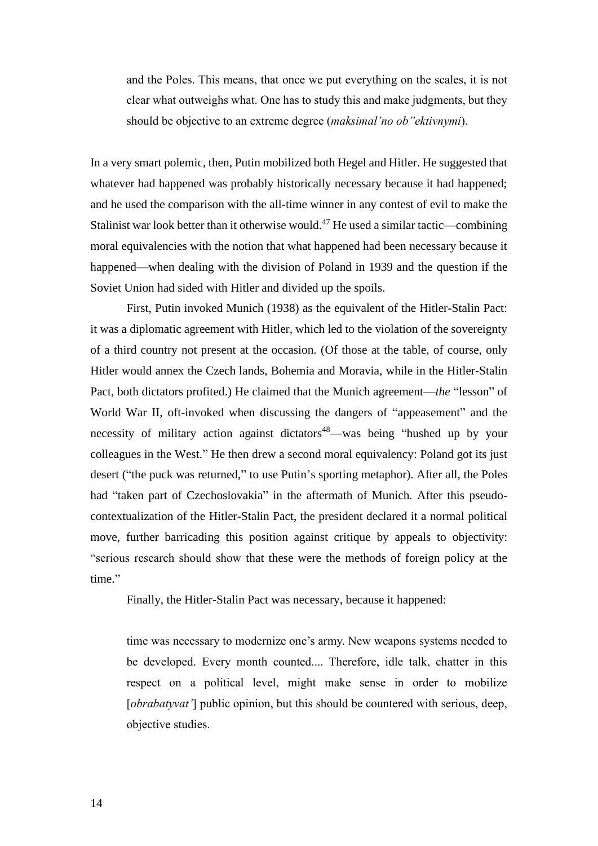and the Poles. This means, that once we put everything on the scales, it is not clear what outweighs what. One has to study this and make judgments, but they should be objective to an extreme degree (*maksimal'no ob''ektivnymi*).

In a very smart polemic, then, Putin mobilized both Hegel and Hitler. He suggested that whatever had happened was probably historically necessary because it had happened; and he used the comparison with the all-time winner in any contest of evil to make the Stalinist war look better than it otherwise would.<sup>47</sup> He used a similar tactic—combining moral equivalencies with the notion that what happened had been necessary because it happened—when dealing with the division of Poland in 1939 and the question if the Soviet Union had sided with Hitler and divided up the spoils.

First, Putin invoked Munich (1938) as the equivalent of the Hitler-Stalin Pact: it was a diplomatic agreement with Hitler, which led to the violation of the sovereignty of a third country not present at the occasion. (Of those at the table, of course, only Hitler would annex the Czech lands, Bohemia and Moravia, while in the Hitler-Stalin Pact, both dictators profited.) He claimed that the Munich agreement—*the* "lesson" of World War II, oft-invoked when discussing the dangers of "appeasement" and the necessity of military action against dictators<sup>48</sup>—was being "hushed up by your colleagues in the West." He then drew a second moral equivalency: Poland got its just desert ("the puck was returned," to use Putin's sporting metaphor). After all, the Poles had "taken part of Czechoslovakia" in the aftermath of Munich. After this pseudocontextualization of the Hitler-Stalin Pact, the president declared it a normal political move, further barricading this position against critique by appeals to objectivity: "serious research should show that these were the methods of foreign policy at the time."

Finally, the Hitler-Stalin Pact was necessary, because it happened:

time was necessary to modernize one's army. New weapons systems needed to be developed. Every month counted.... Therefore, idle talk, chatter in this respect on a political level, might make sense in order to mobilize [*obrabatyvat'*] public opinion, but this should be countered with serious, deep, objective studies.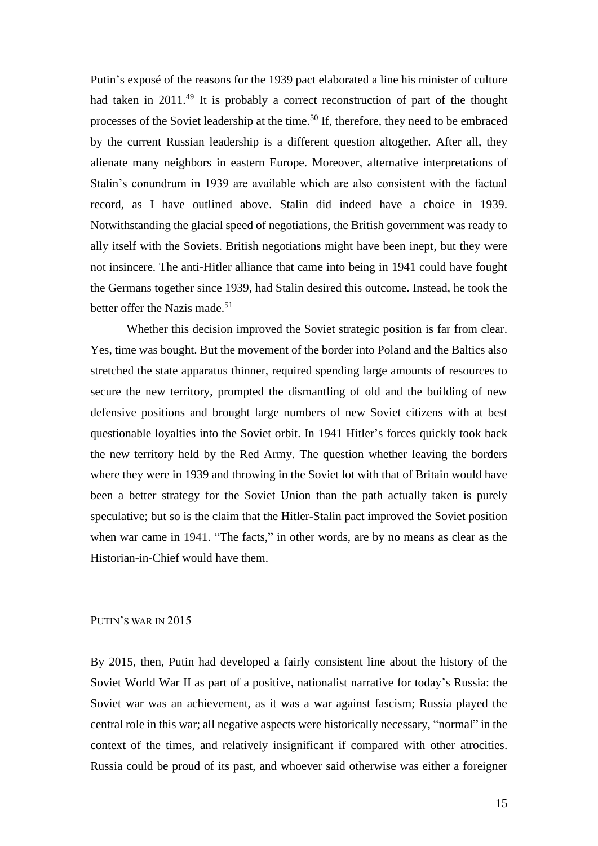Putin's exposé of the reasons for the 1939 pact elaborated a line his minister of culture had taken in 2011.<sup>49</sup> It is probably a correct reconstruction of part of the thought processes of the Soviet leadership at the time.<sup>50</sup> If, therefore, they need to be embraced by the current Russian leadership is a different question altogether. After all, they alienate many neighbors in eastern Europe. Moreover, alternative interpretations of Stalin's conundrum in 1939 are available which are also consistent with the factual record, as I have outlined above. Stalin did indeed have a choice in 1939. Notwithstanding the glacial speed of negotiations, the British government was ready to ally itself with the Soviets. British negotiations might have been inept, but they were not insincere. The anti-Hitler alliance that came into being in 1941 could have fought the Germans together since 1939, had Stalin desired this outcome. Instead, he took the better offer the Nazis made.<sup>51</sup>

Whether this decision improved the Soviet strategic position is far from clear. Yes, time was bought. But the movement of the border into Poland and the Baltics also stretched the state apparatus thinner, required spending large amounts of resources to secure the new territory, prompted the dismantling of old and the building of new defensive positions and brought large numbers of new Soviet citizens with at best questionable loyalties into the Soviet orbit. In 1941 Hitler's forces quickly took back the new territory held by the Red Army. The question whether leaving the borders where they were in 1939 and throwing in the Soviet lot with that of Britain would have been a better strategy for the Soviet Union than the path actually taken is purely speculative; but so is the claim that the Hitler-Stalin pact improved the Soviet position when war came in 1941. "The facts," in other words, are by no means as clear as the Historian-in-Chief would have them.

# PUTIN'S WAR IN 2015

By 2015, then, Putin had developed a fairly consistent line about the history of the Soviet World War II as part of a positive, nationalist narrative for today's Russia: the Soviet war was an achievement, as it was a war against fascism; Russia played the central role in this war; all negative aspects were historically necessary, "normal" in the context of the times, and relatively insignificant if compared with other atrocities. Russia could be proud of its past, and whoever said otherwise was either a foreigner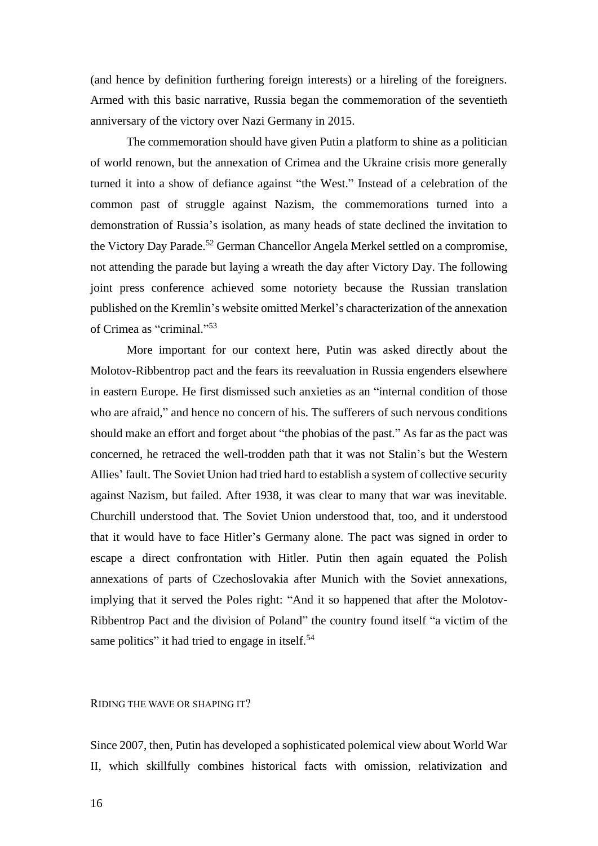(and hence by definition furthering foreign interests) or a hireling of the foreigners. Armed with this basic narrative, Russia began the commemoration of the seventieth anniversary of the victory over Nazi Germany in 2015.

The commemoration should have given Putin a platform to shine as a politician of world renown, but the annexation of Crimea and the Ukraine crisis more generally turned it into a show of defiance against "the West." Instead of a celebration of the common past of struggle against Nazism, the commemorations turned into a demonstration of Russia's isolation, as many heads of state declined the invitation to the Victory Day Parade.<sup>52</sup> German Chancellor Angela Merkel settled on a compromise, not attending the parade but laying a wreath the day after Victory Day. The following joint press conference achieved some notoriety because the Russian translation published on the Kremlin's website omitted Merkel's characterization of the annexation of Crimea as "criminal."<sup>53</sup>

More important for our context here, Putin was asked directly about the Molotov-Ribbentrop pact and the fears its reevaluation in Russia engenders elsewhere in eastern Europe. He first dismissed such anxieties as an "internal condition of those who are afraid," and hence no concern of his. The sufferers of such nervous conditions should make an effort and forget about "the phobias of the past." As far as the pact was concerned, he retraced the well-trodden path that it was not Stalin's but the Western Allies' fault. The Soviet Union had tried hard to establish a system of collective security against Nazism, but failed. After 1938, it was clear to many that war was inevitable. Churchill understood that. The Soviet Union understood that, too, and it understood that it would have to face Hitler's Germany alone. The pact was signed in order to escape a direct confrontation with Hitler. Putin then again equated the Polish annexations of parts of Czechoslovakia after Munich with the Soviet annexations, implying that it served the Poles right: "And it so happened that after the Molotov-Ribbentrop Pact and the division of Poland" the country found itself "a victim of the same politics" it had tried to engage in itself.<sup>54</sup>

RIDING THE WAVE OR SHAPING IT?

Since 2007, then, Putin has developed a sophisticated polemical view about World War II, which skillfully combines historical facts with omission, relativization and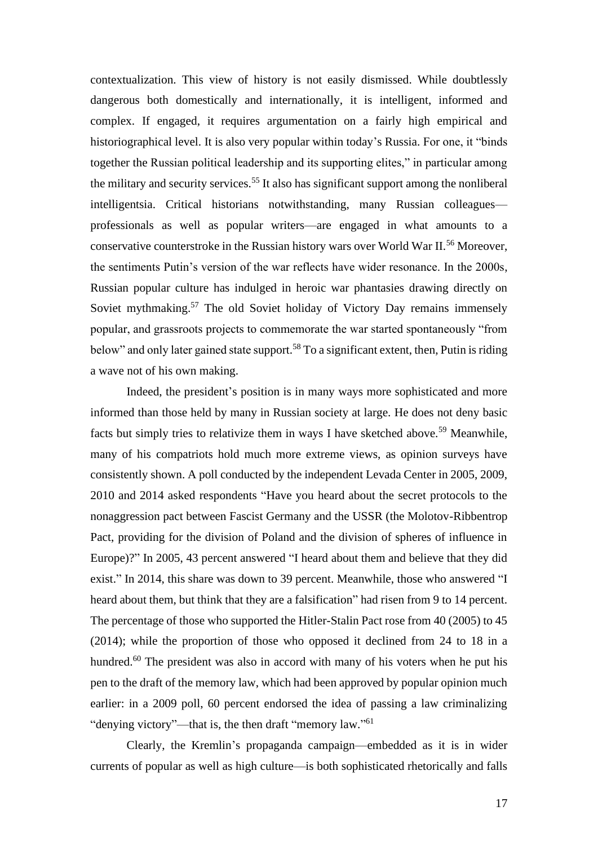contextualization. This view of history is not easily dismissed. While doubtlessly dangerous both domestically and internationally, it is intelligent, informed and complex. If engaged, it requires argumentation on a fairly high empirical and historiographical level. It is also very popular within today's Russia. For one, it "binds together the Russian political leadership and its supporting elites," in particular among the military and security services.<sup>55</sup> It also has significant support among the nonliberal intelligentsia. Critical historians notwithstanding, many Russian colleagues professionals as well as popular writers—are engaged in what amounts to a conservative counterstroke in the Russian history wars over World War II.<sup>56</sup> Moreover, the sentiments Putin's version of the war reflects have wider resonance. In the 2000s, Russian popular culture has indulged in heroic war phantasies drawing directly on Soviet mythmaking.<sup>57</sup> The old Soviet holiday of Victory Day remains immensely popular, and grassroots projects to commemorate the war started spontaneously "from below" and only later gained state support.<sup>58</sup> To a significant extent, then, Putin is riding a wave not of his own making.

Indeed, the president's position is in many ways more sophisticated and more informed than those held by many in Russian society at large. He does not deny basic facts but simply tries to relativize them in ways I have sketched above.<sup>59</sup> Meanwhile, many of his compatriots hold much more extreme views, as opinion surveys have consistently shown. A poll conducted by the independent Levada Center in 2005, 2009, 2010 and 2014 asked respondents "Have you heard about the secret protocols to the nonaggression pact between Fascist Germany and the USSR (the Molotov-Ribbentrop Pact, providing for the division of Poland and the division of spheres of influence in Europe)?" In 2005, 43 percent answered "I heard about them and believe that they did exist." In 2014, this share was down to 39 percent. Meanwhile, those who answered "I heard about them, but think that they are a falsification" had risen from 9 to 14 percent. The percentage of those who supported the Hitler-Stalin Pact rose from 40 (2005) to 45 (2014); while the proportion of those who opposed it declined from 24 to 18 in a hundred.<sup>60</sup> The president was also in accord with many of his voters when he put his pen to the draft of the memory law, which had been approved by popular opinion much earlier: in a 2009 poll, 60 percent endorsed the idea of passing a law criminalizing "denying victory"—that is, the then draft "memory law."<sup>61</sup>

Clearly, the Kremlin's propaganda campaign—embedded as it is in wider currents of popular as well as high culture—is both sophisticated rhetorically and falls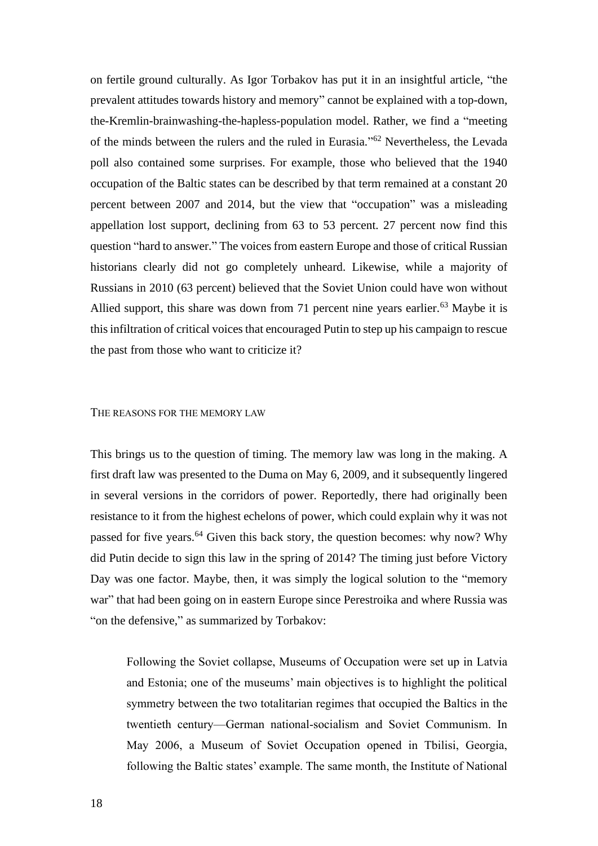on fertile ground culturally. As Igor Torbakov has put it in an insightful article, "the prevalent attitudes towards history and memory" cannot be explained with a top-down, the-Kremlin-brainwashing-the-hapless-population model. Rather, we find a "meeting of the minds between the rulers and the ruled in Eurasia." <sup>62</sup> Nevertheless, the Levada poll also contained some surprises. For example, those who believed that the 1940 occupation of the Baltic states can be described by that term remained at a constant 20 percent between 2007 and 2014, but the view that "occupation" was a misleading appellation lost support, declining from 63 to 53 percent. 27 percent now find this question "hard to answer." The voices from eastern Europe and those of critical Russian historians clearly did not go completely unheard. Likewise, while a majority of Russians in 2010 (63 percent) believed that the Soviet Union could have won without Allied support, this share was down from 71 percent nine years earlier.<sup>63</sup> Maybe it is this infiltration of critical voices that encouraged Putin to step up his campaign to rescue the past from those who want to criticize it?

#### THE REASONS FOR THE MEMORY LAW

This brings us to the question of timing. The memory law was long in the making. A first draft law was presented to the Duma on May 6, 2009, and it subsequently lingered in several versions in the corridors of power. Reportedly, there had originally been resistance to it from the highest echelons of power, which could explain why it was not passed for five years.<sup>64</sup> Given this back story, the question becomes: why now? Why did Putin decide to sign this law in the spring of 2014? The timing just before Victory Day was one factor. Maybe, then, it was simply the logical solution to the "memory war" that had been going on in eastern Europe since Perestroika and where Russia was "on the defensive," as summarized by Torbakov:

Following the Soviet collapse, Museums of Occupation were set up in Latvia and Estonia; one of the museums' main objectives is to highlight the political symmetry between the two totalitarian regimes that occupied the Baltics in the twentieth century—German national-socialism and Soviet Communism. In May 2006, a Museum of Soviet Occupation opened in Tbilisi, Georgia, following the Baltic states' example. The same month, the Institute of National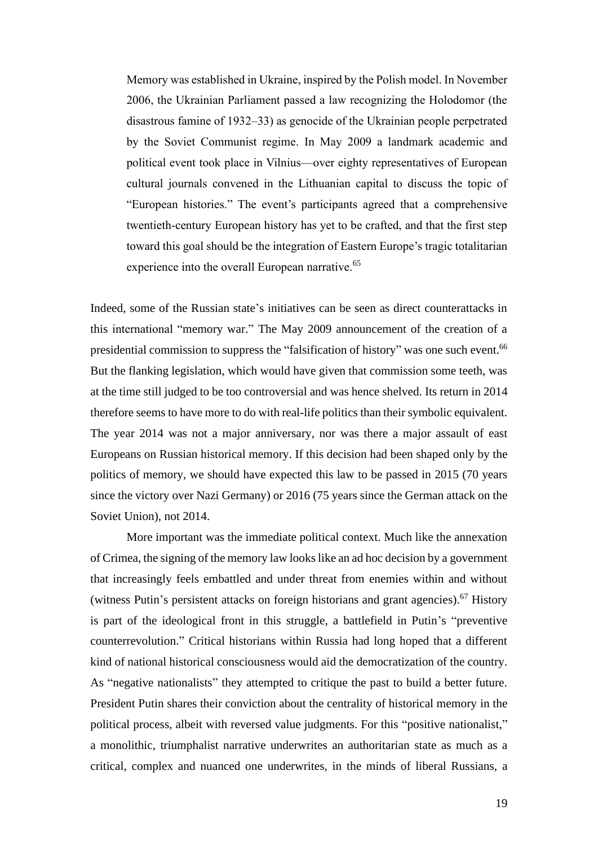Memory was established in Ukraine, inspired by the Polish model. In November 2006, the Ukrainian Parliament passed a law recognizing the Holodomor (the disastrous famine of 1932–33) as genocide of the Ukrainian people perpetrated by the Soviet Communist regime. In May 2009 a landmark academic and political event took place in Vilnius—over eighty representatives of European cultural journals convened in the Lithuanian capital to discuss the topic of "European histories." The event's participants agreed that a comprehensive twentieth-century European history has yet to be crafted, and that the first step toward this goal should be the integration of Eastern Europe's tragic totalitarian experience into the overall European narrative.<sup>65</sup>

Indeed, some of the Russian state's initiatives can be seen as direct counterattacks in this international "memory war." The May 2009 announcement of the creation of a presidential commission to suppress the "falsification of history" was one such event.<sup>66</sup> But the flanking legislation, which would have given that commission some teeth, was at the time still judged to be too controversial and was hence shelved. Its return in 2014 therefore seems to have more to do with real-life politics than their symbolic equivalent. The year 2014 was not a major anniversary, nor was there a major assault of east Europeans on Russian historical memory. If this decision had been shaped only by the politics of memory, we should have expected this law to be passed in 2015 (70 years since the victory over Nazi Germany) or 2016 (75 years since the German attack on the Soviet Union), not 2014.

More important was the immediate political context. Much like the annexation of Crimea, the signing of the memory law looks like an ad hoc decision by a government that increasingly feels embattled and under threat from enemies within and without (witness Putin's persistent attacks on foreign historians and grant agencies).<sup>67</sup> History is part of the ideological front in this struggle, a battlefield in Putin's "preventive counterrevolution." Critical historians within Russia had long hoped that a different kind of national historical consciousness would aid the democratization of the country. As "negative nationalists" they attempted to critique the past to build a better future. President Putin shares their conviction about the centrality of historical memory in the political process, albeit with reversed value judgments. For this "positive nationalist," a monolithic, triumphalist narrative underwrites an authoritarian state as much as a critical, complex and nuanced one underwrites, in the minds of liberal Russians, a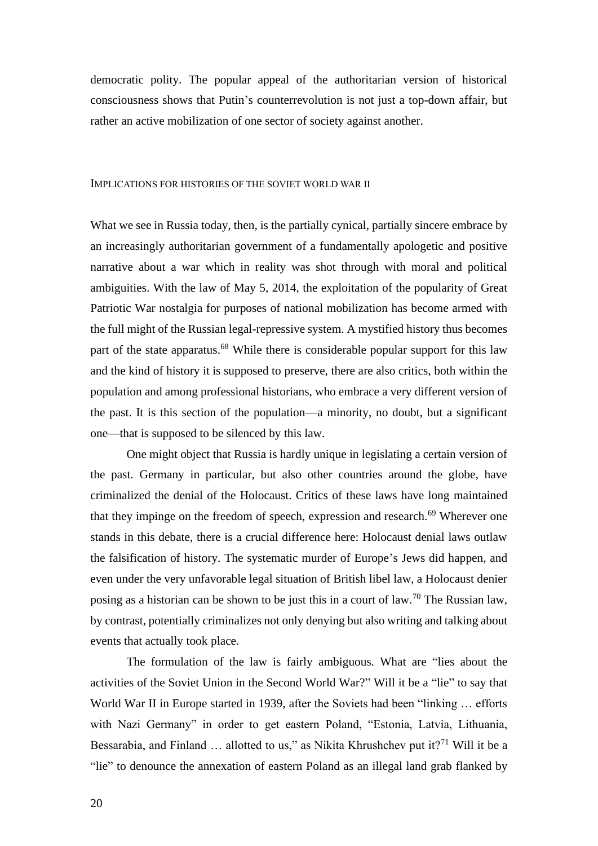democratic polity. The popular appeal of the authoritarian version of historical consciousness shows that Putin's counterrevolution is not just a top-down affair, but rather an active mobilization of one sector of society against another.

#### IMPLICATIONS FOR HISTORIES OF THE SOVIET WORLD WAR II

What we see in Russia today, then, is the partially cynical, partially sincere embrace by an increasingly authoritarian government of a fundamentally apologetic and positive narrative about a war which in reality was shot through with moral and political ambiguities. With the law of May 5, 2014, the exploitation of the popularity of Great Patriotic War nostalgia for purposes of national mobilization has become armed with the full might of the Russian legal-repressive system. A mystified history thus becomes part of the state apparatus.<sup>68</sup> While there is considerable popular support for this law and the kind of history it is supposed to preserve, there are also critics, both within the population and among professional historians, who embrace a very different version of the past. It is this section of the population—a minority, no doubt, but a significant one—that is supposed to be silenced by this law.

One might object that Russia is hardly unique in legislating a certain version of the past. Germany in particular, but also other countries around the globe, have criminalized the denial of the Holocaust. Critics of these laws have long maintained that they impinge on the freedom of speech, expression and research.<sup>69</sup> Wherever one stands in this debate, there is a crucial difference here: Holocaust denial laws outlaw the falsification of history. The systematic murder of Europe's Jews did happen, and even under the very unfavorable legal situation of British libel law, a Holocaust denier posing as a historian can be shown to be just this in a court of law.<sup>70</sup> The Russian law, by contrast, potentially criminalizes not only denying but also writing and talking about events that actually took place.

The formulation of the law is fairly ambiguous. What are "lies about the activities of the Soviet Union in the Second World War?" Will it be a "lie" to say that World War II in Europe started in 1939, after the Soviets had been "linking ... efforts" with Nazi Germany" in order to get eastern Poland, "Estonia, Latvia, Lithuania, Bessarabia, and Finland  $\ldots$  allotted to us," as Nikita Khrushchev put it?<sup>71</sup> Will it be a "lie" to denounce the annexation of eastern Poland as an illegal land grab flanked by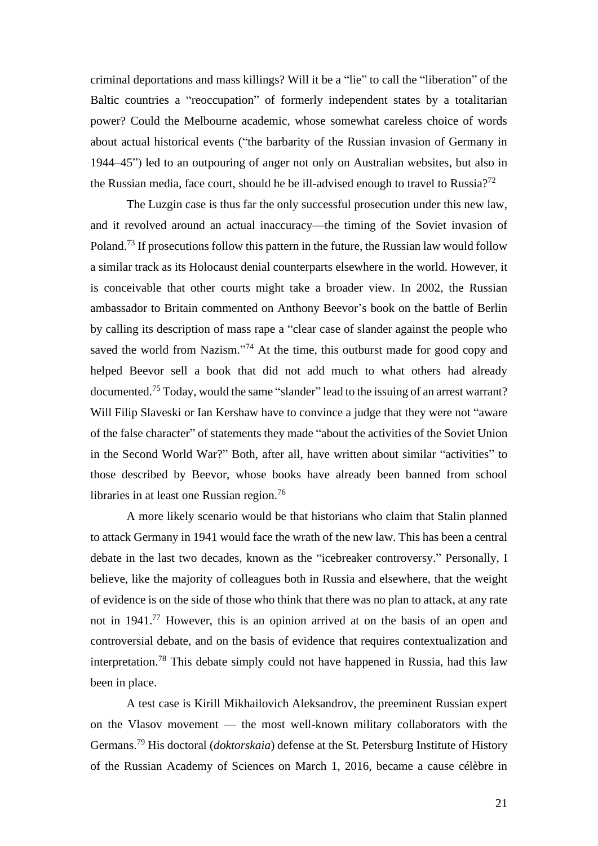criminal deportations and mass killings? Will it be a "lie" to call the "liberation" of the Baltic countries a "reoccupation" of formerly independent states by a totalitarian power? Could the Melbourne academic, whose somewhat careless choice of words about actual historical events ("the barbarity of the Russian invasion of Germany in 1944–45") led to an outpouring of anger not only on Australian websites, but also in the Russian media, face court, should he be ill-advised enough to travel to Russia?<sup>72</sup>

The Luzgin case is thus far the only successful prosecution under this new law, and it revolved around an actual inaccuracy—the timing of the Soviet invasion of Poland.<sup>73</sup> If prosecutions follow this pattern in the future, the Russian law would follow a similar track as its Holocaust denial counterparts elsewhere in the world. However, it is conceivable that other courts might take a broader view. In 2002, the Russian ambassador to Britain commented on Anthony Beevor's book on the battle of Berlin by calling its description of mass rape a "clear case of slander against the people who saved the world from Nazism."<sup>74</sup> At the time, this outburst made for good copy and helped Beevor sell a book that did not add much to what others had already documented.<sup>75</sup> Today, would the same "slander" lead to the issuing of an arrest warrant? Will Filip Slaveski or Ian Kershaw have to convince a judge that they were not "aware of the false character" of statements they made "about the activities of the Soviet Union in the Second World War?" Both, after all, have written about similar "activities" to those described by Beevor, whose books have already been banned from school libraries in at least one Russian region.<sup>76</sup>

A more likely scenario would be that historians who claim that Stalin planned to attack Germany in 1941 would face the wrath of the new law. This has been a central debate in the last two decades, known as the "icebreaker controversy." Personally, I believe, like the majority of colleagues both in Russia and elsewhere, that the weight of evidence is on the side of those who think that there was no plan to attack, at any rate not in 1941.<sup>77</sup> However, this is an opinion arrived at on the basis of an open and controversial debate, and on the basis of evidence that requires contextualization and interpretation.<sup>78</sup> This debate simply could not have happened in Russia, had this law been in place.

A test case is Kirill Mikhailovich Aleksandrov, the preeminent Russian expert on the Vlasov movement — the most well-known military collaborators with the Germans.<sup>79</sup> His doctoral (*doktorskaia*) defense at the St. Petersburg Institute of History of the Russian Academy of Sciences on March 1, 2016, became a cause célèbre in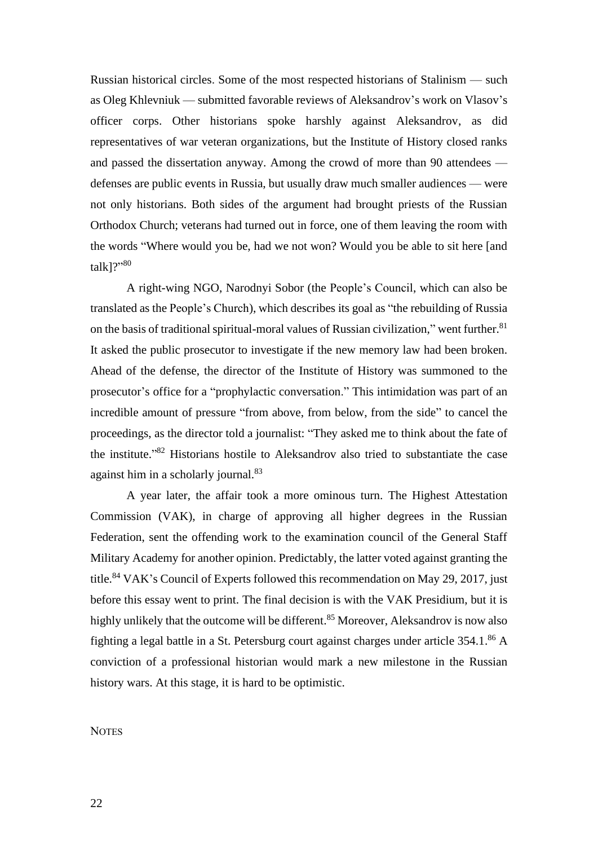Russian historical circles. Some of the most respected historians of Stalinism — such as Oleg Khlevniuk — submitted favorable reviews of Aleksandrov's work on Vlasov's officer corps. Other historians spoke harshly against Aleksandrov, as did representatives of war veteran organizations, but the Institute of History closed ranks and passed the dissertation anyway. Among the crowd of more than 90 attendees defenses are public events in Russia, but usually draw much smaller audiences — were not only historians. Both sides of the argument had brought priests of the Russian Orthodox Church; veterans had turned out in force, one of them leaving the room with the words "Where would you be, had we not won? Would you be able to sit here [and talk]?" 80

A right-wing NGO, Narodnyi Sobor (the People's Council, which can also be translated as the People's Church), which describes its goal as "the rebuilding of Russia on the basis of traditional spiritual-moral values of Russian civilization," went further. $81$ It asked the public prosecutor to investigate if the new memory law had been broken. Ahead of the defense, the director of the Institute of History was summoned to the prosecutor's office for a "prophylactic conversation." This intimidation was part of an incredible amount of pressure "from above, from below, from the side" to cancel the proceedings, as the director told a journalist: "They asked me to think about the fate of the institute." <sup>82</sup> Historians hostile to Aleksandrov also tried to substantiate the case against him in a scholarly journal.<sup>83</sup>

A year later, the affair took a more ominous turn. The Highest Attestation Commission (VAK), in charge of approving all higher degrees in the Russian Federation, sent the offending work to the examination council of the General Staff Military Academy for another opinion. Predictably, the latter voted against granting the title.<sup>84</sup> VAK's Council of Experts followed this recommendation on May 29, 2017, just before this essay went to print. The final decision is with the VAK Presidium, but it is highly unlikely that the outcome will be different.<sup>85</sup> Moreover, Aleksandrov is now also fighting a legal battle in a St. Petersburg court against charges under article 354.1. <sup>86</sup> A conviction of a professional historian would mark a new milestone in the Russian history wars. At this stage, it is hard to be optimistic.

# **NOTES**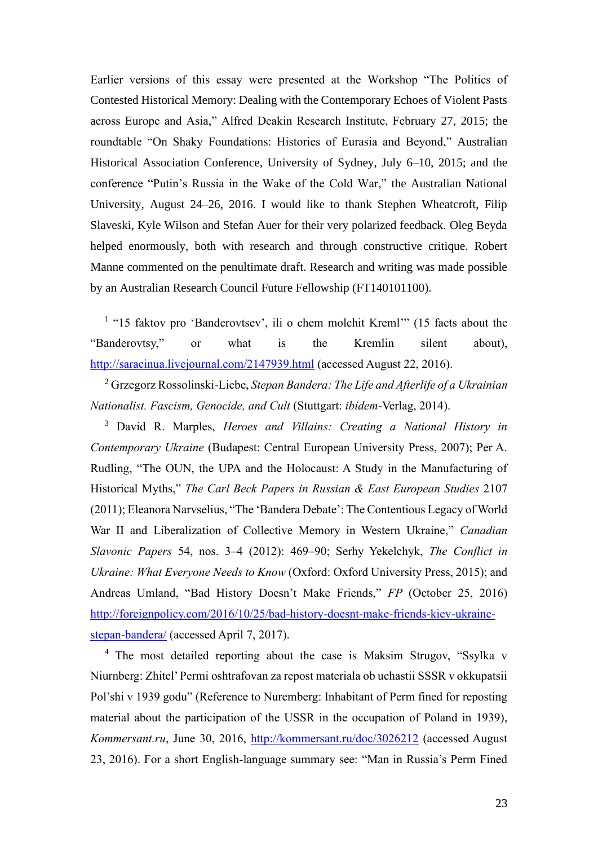Earlier versions of this essay were presented at the Workshop "The Politics of Contested Historical Memory: Dealing with the Contemporary Echoes of Violent Pasts across Europe and Asia," Alfred Deakin Research Institute, February 27, 2015; the roundtable "On Shaky Foundations: Histories of Eurasia and Beyond," Australian Historical Association Conference, University of Sydney, July 6–10, 2015; and the conference "Putin's Russia in the Wake of the Cold War," the Australian National University, August 24–26, 2016. I would like to thank Stephen Wheatcroft, Filip Slaveski, Kyle Wilson and Stefan Auer for their very polarized feedback. Oleg Beyda helped enormously, both with research and through constructive critique. Robert Manne commented on the penultimate draft. Research and writing was made possible by an Australian Research Council Future Fellowship (FT140101100).

<sup>1</sup> "15 faktov pro 'Banderovtsev', ili o chem molchit Kreml'" (15 facts about the "Banderovtsy," or what is the Kremlin silent about), <http://saracinua.livejournal.com/2147939.html> (accessed August 22, 2016).

<sup>2</sup> Grzegorz Rossolinski-Liebe, *Stepan Bandera: The Life and Afterlife of a Ukrainian Nationalist. Fascism, Genocide, and Cult* (Stuttgart: *ibidem*-Verlag, 2014).

<sup>3</sup> David R. Marples, *Heroes and Villains: Creating a National History in Contemporary Ukraine* (Budapest: Central European University Press, 2007); Per A. Rudling, "The OUN, the UPA and the Holocaust: A Study in the Manufacturing of Historical Myths," *The Carl Beck Papers in Russian & East European Studies* 2107 (2011); Eleanora Narvselius, "The 'Bandera Debate': The Contentious Legacy of World War II and Liberalization of Collective Memory in Western Ukraine," *Canadian Slavonic Papers* 54, nos. 3–4 (2012): 469–90; Serhy Yekelchyk, *The Conflict in Ukraine: What Everyone Needs to Know* (Oxford: Oxford University Press, 2015); and Andreas Umland, "Bad History Doesn't Make Friends," *FP* (October 25, 2016) [http://foreignpolicy.com/2016/10/25/bad-history-doesnt-make-friends-kiev-ukraine](http://foreignpolicy.com/2016/10/25/bad-history-doesnt-make-friends-kiev-ukraine-stepan-bandera/)[stepan-bandera/](http://foreignpolicy.com/2016/10/25/bad-history-doesnt-make-friends-kiev-ukraine-stepan-bandera/) (accessed April 7, 2017).

<sup>4</sup> The most detailed reporting about the case is Maksim Strugov, "Ssylka v Niurnberg: Zhitel'Permi oshtrafovan za repost materiala ob uchastii SSSR v okkupatsii Pol'shi v 1939 godu" (Reference to Nuremberg: Inhabitant of Perm fined for reposting material about the participation of the USSR in the occupation of Poland in 1939), *Kommersant.ru*, June 30, 2016,<http://kommersant.ru/doc/3026212> (accessed August 23, 2016). For a short English-language summary see: "Man in Russia's Perm Fined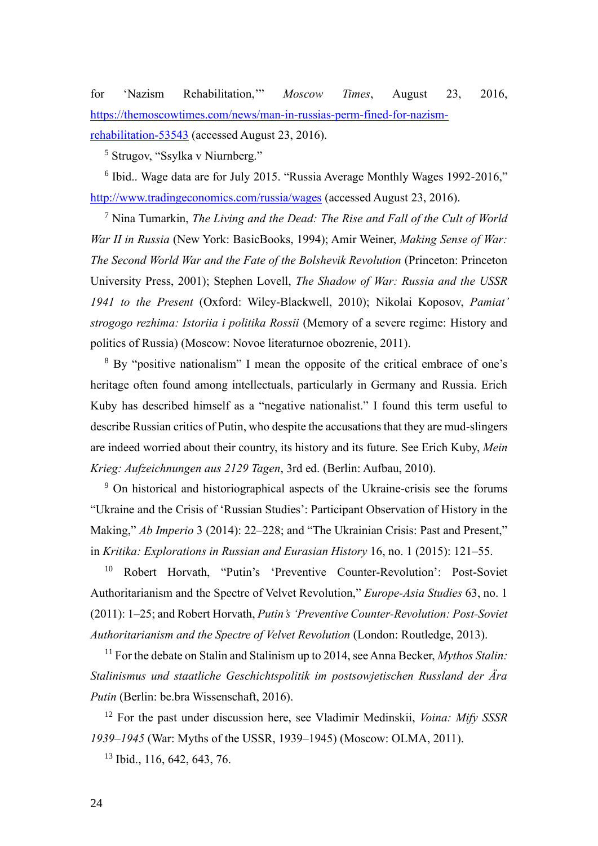for 'Nazism Rehabilitation,'" *Moscow Times*, August 23, 2016, [https://themoscowtimes.com/news/man-in-russias-perm-fined-for-nazism-](https://themoscowtimes.com/news/man-in-russias-perm-fined-for-nazism-rehabilitation-53543)

[rehabilitation-53543](https://themoscowtimes.com/news/man-in-russias-perm-fined-for-nazism-rehabilitation-53543) (accessed August 23, 2016).

<sup>5</sup> Strugov, "Ssylka v Niurnberg."

<sup>6</sup> Ibid.. Wage data are for July 2015. "Russia Average Monthly Wages 1992-2016," <http://www.tradingeconomics.com/russia/wages> (accessed August 23, 2016).

<sup>7</sup> Nina Tumarkin, *The Living and the Dead: The Rise and Fall of the Cult of World War II in Russia* (New York: BasicBooks, 1994); Amir Weiner, *Making Sense of War: The Second World War and the Fate of the Bolshevik Revolution* (Princeton: Princeton University Press, 2001); Stephen Lovell, *The Shadow of War: Russia and the USSR 1941 to the Present* (Oxford: Wiley-Blackwell, 2010); Nikolai Koposov, *Pamiat' strogogo rezhima: Istoriia i politika Rossii* (Memory of a severe regime: History and politics of Russia) (Moscow: Novoe literaturnoe obozrenie, 2011).

<sup>8</sup> By "positive nationalism" I mean the opposite of the critical embrace of one's heritage often found among intellectuals, particularly in Germany and Russia. Erich Kuby has described himself as a "negative nationalist." I found this term useful to describe Russian critics of Putin, who despite the accusations that they are mud-slingers are indeed worried about their country, its history and its future. See Erich Kuby, *Mein Krieg: Aufzeichnungen aus 2129 Tagen*, 3rd ed. (Berlin: Aufbau, 2010).

<sup>9</sup> On historical and historiographical aspects of the Ukraine-crisis see the forums "Ukraine and the Crisis of 'Russian Studies': Participant Observation of History in the Making," *Ab Imperio* 3 (2014): 22–228; and "The Ukrainian Crisis: Past and Present," in *Kritika: Explorations in Russian and Eurasian History* 16, no. 1 (2015): 121–55.

<sup>10</sup> Robert Horvath, "Putin's 'Preventive Counter-Revolution': Post-Soviet Authoritarianism and the Spectre of Velvet Revolution," *Europe-Asia Studies* 63, no. 1 (2011): 1–25; and Robert Horvath, *Putin's 'Preventive Counter-Revolution: Post-Soviet Authoritarianism and the Spectre of Velvet Revolution* (London: Routledge, 2013).

<sup>11</sup> For the debate on Stalin and Stalinism up to 2014, see Anna Becker, *Mythos Stalin*: *Stalinismus und staatliche Geschichtspolitik im postsowjetischen Russland der Ära Putin* (Berlin: be.bra Wissenschaft, 2016).

<sup>12</sup> For the past under discussion here, see Vladimir Medinskii, *Voina: Mify SSSR 1939–1945* (War: Myths of the USSR, 1939–1945) (Moscow: OLMA, 2011).

<sup>13</sup> Ibid., 116, 642, 643, 76.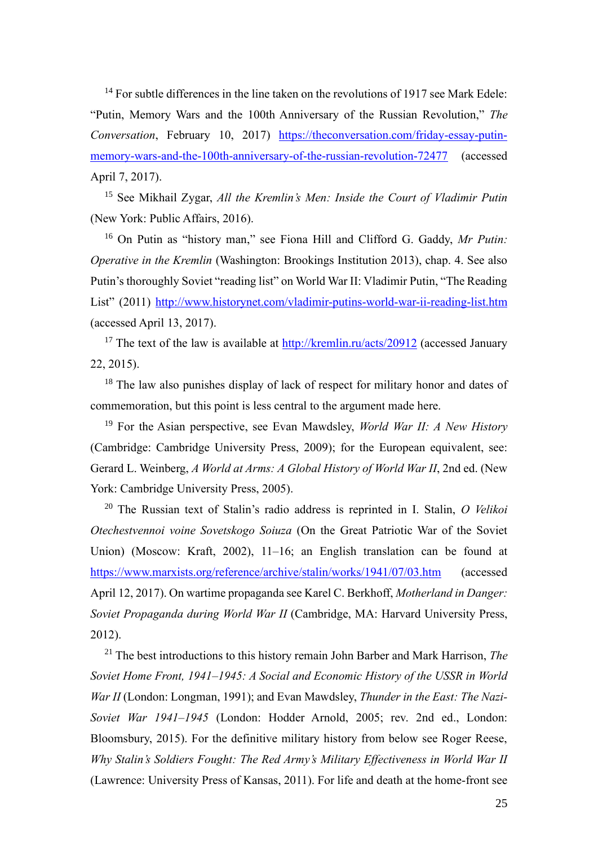<sup>14</sup> For subtle differences in the line taken on the revolutions of 1917 see Mark Edele: "Putin, Memory Wars and the 100th Anniversary of the Russian Revolution," *The Conversation*, February 10, 2017) [https://theconversation.com/friday-essay-putin](https://theconversation.com/friday-essay-putin-memory-wars-and-the-100th-anniversary-of-the-russian-revolution-72477)[memory-wars-and-the-100th-anniversary-of-the-russian-revolution-72477](https://theconversation.com/friday-essay-putin-memory-wars-and-the-100th-anniversary-of-the-russian-revolution-72477) (accessed April 7, 2017).

<sup>15</sup> See Mikhail Zygar, *All the Kremlin's Men: Inside the Court of Vladimir Putin* (New York: Public Affairs, 2016).

<sup>16</sup> On Putin as "history man," see Fiona Hill and Clifford G. Gaddy, *Mr Putin: Operative in the Kremlin* (Washington: Brookings Institution 2013), chap. 4. See also Putin's thoroughly Soviet "reading list" on World War II: Vladimir Putin, "The Reading List" (2011)<http://www.historynet.com/vladimir-putins-world-war-ii-reading-list.htm> (accessed April 13, 2017).

<sup>17</sup> The text of the law is available at  $\frac{http://kremlin.ru/acts/20912}{}$  $\frac{http://kremlin.ru/acts/20912}{}$  $\frac{http://kremlin.ru/acts/20912}{}$  (accessed January 22, 2015).

<sup>18</sup> The law also punishes display of lack of respect for military honor and dates of commemoration, but this point is less central to the argument made here.

<sup>19</sup> For the Asian perspective, see Evan Mawdsley, *World War II: A New History* (Cambridge: Cambridge University Press, 2009); for the European equivalent, see: Gerard L. Weinberg, *A World at Arms: A Global History of World War II*, 2nd ed. (New York: Cambridge University Press, 2005).

<sup>20</sup> The Russian text of Stalin's radio address is reprinted in I. Stalin, *O Velikoi Otechestvennoi voine Sovetskogo Soiuza* (On the Great Patriotic War of the Soviet Union) (Moscow: Kraft, 2002), 11–16; an English translation can be found at <https://www.marxists.org/reference/archive/stalin/works/1941/07/03.htm> (accessed April 12, 2017). On wartime propaganda see Karel C. Berkhoff, *Motherland in Danger: Soviet Propaganda during World War II* (Cambridge, MA: Harvard University Press, 2012).

<sup>21</sup> The best introductions to this history remain John Barber and Mark Harrison, *The Soviet Home Front, 1941–1945: A Social and Economic History of the USSR in World War II* (London: Longman, 1991); and Evan Mawdsley, *Thunder in the East: The Nazi-Soviet War 1941–1945* (London: Hodder Arnold, 2005; rev. 2nd ed., London: Bloomsbury, 2015). For the definitive military history from below see Roger Reese, *Why Stalin's Soldiers Fought: The Red Army's Military Effectiveness in World War II* (Lawrence: University Press of Kansas, 2011). For life and death at the home-front see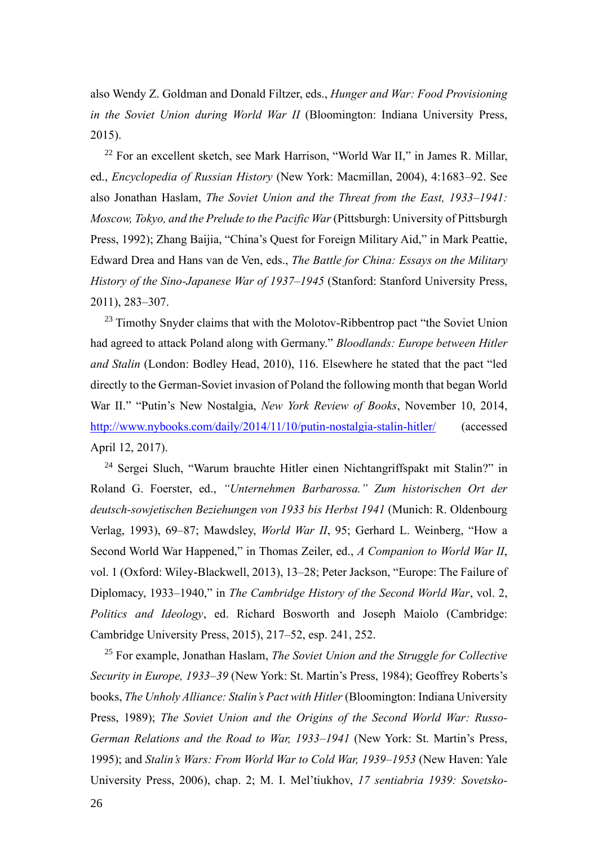also Wendy Z. Goldman and Donald Filtzer, eds., *Hunger and War: Food Provisioning in the Soviet Union during World War II* (Bloomington: Indiana University Press, 2015).

 $22$  For an excellent sketch, see Mark Harrison, "World War II," in James R. Millar, ed., *Encyclopedia of Russian History* (New York: Macmillan, 2004), 4:1683–92. See also Jonathan Haslam, *The Soviet Union and the Threat from the East, 1933–1941: Moscow, Tokyo, and the Prelude to the Pacific War* (Pittsburgh: University of Pittsburgh Press, 1992); Zhang Baijia, "China's Quest for Foreign Military Aid," in Mark Peattie, Edward Drea and Hans van de Ven, eds., *The Battle for China: Essays on the Military History of the Sino-Japanese War of 1937–1945* (Stanford: Stanford University Press, 2011), 283–307.

<sup>23</sup> Timothy Snyder claims that with the Molotov-Ribbentrop pact "the Soviet Union" had agreed to attack Poland along with Germany." *Bloodlands: Europe between Hitler and Stalin* (London: Bodley Head, 2010), 116. Elsewhere he stated that the pact "led directly to the German-Soviet invasion of Poland the following month that began World War II." "Putin's New Nostalgia, *New York Review of Books*, November 10, 2014, <http://www.nybooks.com/daily/2014/11/10/putin-nostalgia-stalin-hitler/> (accessed April 12, 2017).

<sup>24</sup> Sergei Sluch, "Warum brauchte Hitler einen Nichtangriffspakt mit Stalin?" in Roland G. Foerster, ed., *"Unternehmen Barbarossa." Zum historischen Ort der deutsch-sowjetischen Beziehungen von 1933 bis Herbst 1941* (Munich: R. Oldenbourg Verlag, 1993), 69–87; Mawdsley, *World War II*, 95; Gerhard L. Weinberg, "How a Second World War Happened," in Thomas Zeiler, ed., *A Companion to World War II*, vol. 1 (Oxford: Wiley-Blackwell, 2013), 13–28; Peter Jackson, "Europe: The Failure of Diplomacy, 1933–1940," in *The Cambridge History of the Second World War*, vol. 2, *Politics and Ideology*, ed. Richard Bosworth and Joseph Maiolo (Cambridge: Cambridge University Press, 2015), 217–52, esp. 241, 252.

<sup>25</sup> For example, Jonathan Haslam, *The Soviet Union and the Struggle for Collective Security in Europe, 1933–39* (New York: St. Martin's Press, 1984); Geoffrey Roberts's books, *The Unholy Alliance: Stalin's Pact with Hitler* (Bloomington: Indiana University Press, 1989); *The Soviet Union and the Origins of the Second World War: Russo-German Relations and the Road to War, 1933–1941* (New York: St. Martin's Press, 1995); and *Stalin's Wars: From World War to Cold War, 1939–1953* (New Haven: Yale University Press, 2006), chap. 2; M. I. Mel'tiukhov, *17 sentiabria 1939: Sovetsko-*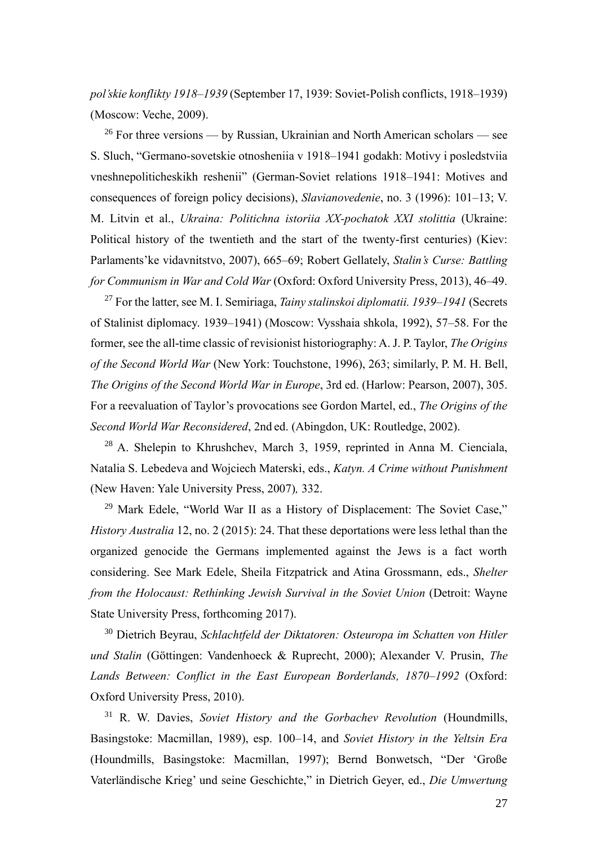*pol'skie konflikty 1918–1939* (September 17, 1939: Soviet-Polish conflicts, 1918–1939) (Moscow: Veche, 2009).

 $26$  For three versions — by Russian, Ukrainian and North American scholars — see S. Sluch, "Germano-sovetskie otnosheniia v 1918–1941 godakh: Motivy i posledstviia vneshnepoliticheskikh reshenii" (German-Soviet relations 1918–1941: Motives and consequences of foreign policy decisions), *Slavianovedenie*, no. 3 (1996): 101–13; V. M. Litvin et al., *Ukraina: Politichna istoriia XX-pochatok XXI stolittia* (Ukraine: Political history of the twentieth and the start of the twenty-first centuries) (Kiev: Parlaments'ke vidavnitstvo, 2007), 665–69; Robert Gellately, *Stalin's Curse: Battling for Communism in War and Cold War* (Oxford: Oxford University Press, 2013), 46–49.

<sup>27</sup> For the latter, see M. I. Semiriaga, *Tainy stalinskoi diplomatii. 1939–1941* (Secrets of Stalinist diplomacy. 1939–1941) (Moscow: Vysshaia shkola, 1992), 57–58. For the former, see the all-time classic of revisionist historiography: A. J. P. Taylor, *The Origins of the Second World War* (New York: Touchstone, 1996), 263; similarly, P. M. H. Bell, *The Origins of the Second World War in Europe*, 3rd ed. (Harlow: Pearson, 2007), 305. For a reevaluation of Taylor's provocations see Gordon Martel, ed., *The Origins of the Second World War Reconsidered*, 2nd ed. (Abingdon, UK: Routledge, 2002).

<sup>28</sup> A. Shelepin to Khrushchev, March 3, 1959, reprinted in Anna M. Cienciala, Natalia S. Lebedeva and Wojciech Materski, eds., *Katyn. A Crime without Punishment* (New Haven: Yale University Press, 2007)*,* 332.

<sup>29</sup> Mark Edele, "World War II as a History of Displacement: The Soviet Case," *History Australia* 12, no. 2 (2015): 24. That these deportations were less lethal than the organized genocide the Germans implemented against the Jews is a fact worth considering. See Mark Edele, Sheila Fitzpatrick and Atina Grossmann, eds., *Shelter from the Holocaust: Rethinking Jewish Survival in the Soviet Union (Detroit: Wayne* State University Press, forthcoming 2017).

<sup>30</sup> Dietrich Beyrau, *Schlachtfeld der Diktatoren: Osteuropa im Schatten von Hitler und Stalin* (Göttingen: Vandenhoeck & Ruprecht, 2000); Alexander V. Prusin, *The Lands Between: Conflict in the East European Borderlands, 1870–1992* (Oxford: Oxford University Press, 2010).

<sup>31</sup> R. W. Davies, *Soviet History and the Gorbachev Revolution* (Houndmills, Basingstoke: Macmillan, 1989), esp. 100–14, and *Soviet History in the Yeltsin Era*  (Houndmills, Basingstoke: Macmillan, 1997); Bernd Bonwetsch, "Der 'Große Vaterländische Krieg' und seine Geschichte," in Dietrich Geyer, ed., *Die Umwertung*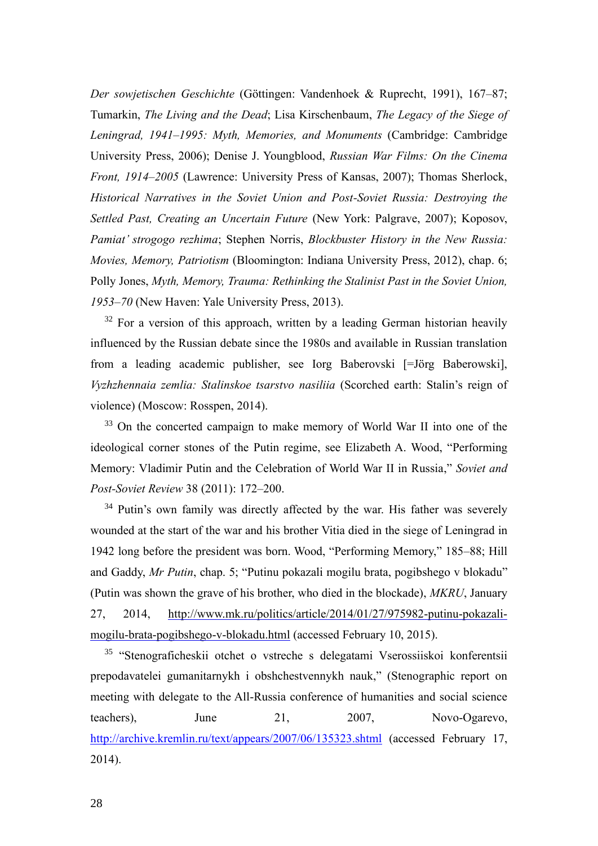*Der sowjetischen Geschichte* (Göttingen: Vandenhoek & Ruprecht, 1991), 167–87; Tumarkin, *The Living and the Dead*; Lisa Kirschenbaum, *The Legacy of the Siege of Leningrad, 1941–1995: Myth, Memories, and Monuments* (Cambridge: Cambridge University Press, 2006); Denise J. Youngblood, *Russian War Films: On the Cinema Front, 1914–2005* (Lawrence: University Press of Kansas, 2007); Thomas Sherlock, *Historical Narratives in the Soviet Union and Post-Soviet Russia: Destroying the Settled Past, Creating an Uncertain Future* (New York: Palgrave, 2007); Koposov, *Pamiat' strogogo rezhima*; Stephen Norris, *Blockbuster History in the New Russia: Movies, Memory, Patriotism* (Bloomington: Indiana University Press, 2012), chap. 6; Polly Jones, *Myth, Memory, Trauma: Rethinking the Stalinist Past in the Soviet Union, 1953–70* (New Haven: Yale University Press, 2013).

 $32$  For a version of this approach, written by a leading German historian heavily influenced by the Russian debate since the 1980s and available in Russian translation from a leading academic publisher, see Iorg Baberovski [=Jörg Baberowski], *Vyzhzhennaia zemlia: Stalinskoe tsarstvo nasiliia* (Scorched earth: Stalin's reign of violence) (Moscow: Rosspen, 2014).

<sup>33</sup> On the concerted campaign to make memory of World War II into one of the ideological corner stones of the Putin regime, see Elizabeth A. Wood, "Performing Memory: Vladimir Putin and the Celebration of World War II in Russia," *Soviet and Post-Soviet Review* 38 (2011): 172–200.

<sup>34</sup> Putin's own family was directly affected by the war. His father was severely wounded at the start of the war and his brother Vitia died in the siege of Leningrad in 1942 long before the president was born. Wood, "Performing Memory," 185–88; Hill and Gaddy, *Mr Putin*, chap. 5; "Putinu pokazali mogilu brata, pogibshego v blokadu" (Putin was shown the grave of his brother, who died in the blockade), *MKRU*, January 27, 2014, [http://www.mk.ru/politics/article/2014/01/27/975982-putinu-pokazali](http://www.mk.ru/politics/article/2014/01/27/975982-putinu-pokazali-mogilu-brata-pogibshego-v-blokadu.html)[mogilu-brata-pogibshego-v-blokadu.html](http://www.mk.ru/politics/article/2014/01/27/975982-putinu-pokazali-mogilu-brata-pogibshego-v-blokadu.html) (accessed February 10, 2015).

<sup>35</sup> "Stenograficheskii otchet o vstreche s delegatami Vserossiiskoi konferentsii prepodavatelei gumanitarnykh i obshchestvennykh nauk," (Stenographic report on meeting with delegate to the All-Russia conference of humanities and social science teachers), June 21, 2007, Novo-Ogarevo, <http://archive.kremlin.ru/text/appears/2007/06/135323.shtml> (accessed February 17, 2014).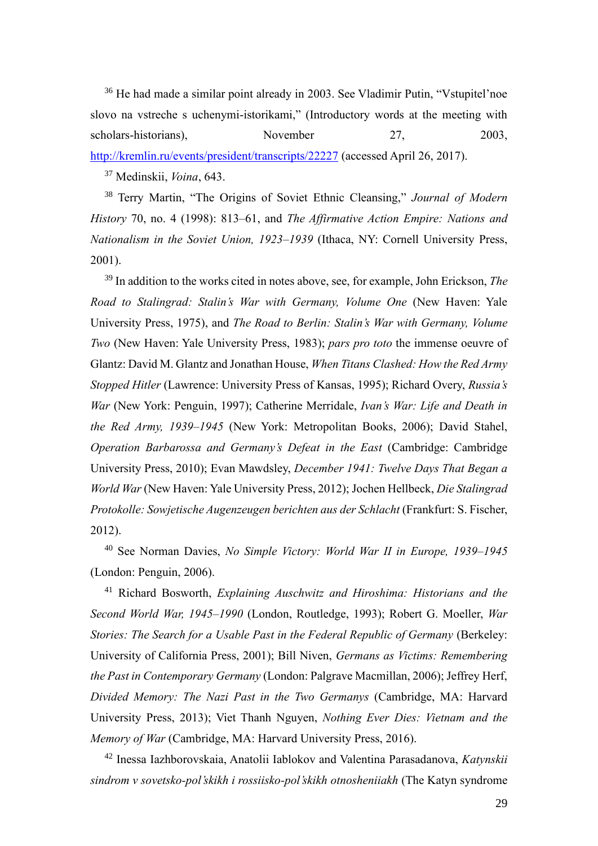<sup>36</sup> He had made a similar point already in 2003. See Vladimir Putin, "Vstupitel'noe slovo na vstreche s uchenymi-istorikami," (Introductory words at the meeting with scholars-historians), November 27, 2003, <http://kremlin.ru/events/president/transcripts/22227> (accessed April 26, 2017).

<sup>37</sup> Medinskii, *Voina*, 643.

<sup>38</sup> Terry Martin, "The Origins of Soviet Ethnic Cleansing," *Journal of Modern History* 70, no. 4 (1998): 813–61, and *The Affirmative Action Empire: Nations and Nationalism in the Soviet Union, 1923–1939* (Ithaca, NY: Cornell University Press, 2001).

<sup>39</sup> In addition to the works cited in notes above, see, for example, John Erickson, *The Road to Stalingrad: Stalin's War with Germany, Volume One* (New Haven: Yale University Press, 1975), and *The Road to Berlin: Stalin's War with Germany, Volume Two* (New Haven: Yale University Press, 1983); *pars pro toto* the immense oeuvre of Glantz: David M. Glantz and Jonathan House, *When Titans Clashed: How the Red Army Stopped Hitler* (Lawrence: University Press of Kansas, 1995); Richard Overy, *Russia's War* (New York: Penguin, 1997); Catherine Merridale, *Ivan's War: Life and Death in the Red Army, 1939–1945* (New York: Metropolitan Books, 2006); David Stahel, *Operation Barbarossa and Germany's Defeat in the East* (Cambridge: Cambridge University Press, 2010); Evan Mawdsley, *December 1941: Twelve Days That Began a World War* (New Haven: Yale University Press, 2012); Jochen Hellbeck, *Die Stalingrad Protokolle: Sowjetische Augenzeugen berichten aus der Schlacht* (Frankfurt: S. Fischer, 2012).

<sup>40</sup> See Norman Davies, *No Simple Victory: World War II in Europe, 1939–1945* (London: Penguin, 2006).

<sup>41</sup> Richard Bosworth, *Explaining Auschwitz and Hiroshima: Historians and the Second World War, 1945–1990* (London, Routledge, 1993); Robert G. Moeller, *War Stories: The Search for a Usable Past in the Federal Republic of Germany (Berkeley:* University of California Press, 2001); Bill Niven, *Germans as Victims: Remembering the Past in Contemporary Germany* (London: Palgrave Macmillan, 2006); Jeffrey Herf, *Divided Memory: The Nazi Past in the Two Germanys* (Cambridge, MA: Harvard University Press, 2013); Viet Thanh Nguyen, *Nothing Ever Dies: Vietnam and the Memory of War* (Cambridge, MA: Harvard University Press, 2016).

<sup>42</sup> Inessa Iazhborovskaia, Anatolii Iablokov and Valentina Parasadanova, *Katynskii sindrom v sovetsko-pol'skikh i rossiisko-pol'skikh otnosheniiakh* (The Katyn syndrome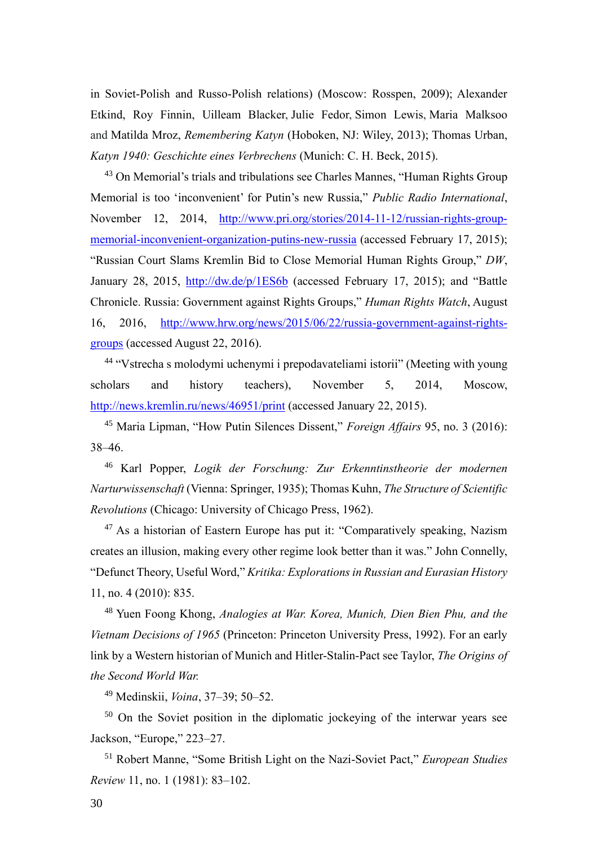in Soviet-Polish and Russo-Polish relations) (Moscow: Rosspen, 2009); Alexander Etkind, Roy Finnin, Uilleam Blacker, Julie Fedor, Simon Lewis, Maria Malksoo and Matilda Mroz, *Remembering Katyn* (Hoboken, NJ: Wiley, 2013); Thomas Urban, *Katyn 1940: Geschichte eines Verbrechens* (Munich: C. H. Beck, 2015).

<sup>43</sup> On Memorial's trials and tribulations see Charles Mannes, "Human Rights Group Memorial is too 'inconvenient' for Putin's new Russia," *Public Radio International*, November 12, 2014, [http://www.pri.org/stories/2014-11-12/russian-rights-group](http://www.pri.org/stories/2014-11-12/russian-rights-group-memorial-inconvenient-organization-putins-new-russia)[memorial-inconvenient-organization-putins-new-russia](http://www.pri.org/stories/2014-11-12/russian-rights-group-memorial-inconvenient-organization-putins-new-russia) (accessed February 17, 2015); "Russian Court Slams Kremlin Bid to Close Memorial Human Rights Group," *DW*, January 28, 2015, <http://dw.de/p/1ES6b> (accessed February 17, 2015); and "Battle Chronicle. Russia: Government against Rights Groups," *Human Rights Watch*, August 16, 2016, [http://www.hrw.org/news/2015/06/22/russia-government-against-rights](http://www.hrw.org/news/2015/06/22/russia-government-against-rights-groups)[groups](http://www.hrw.org/news/2015/06/22/russia-government-against-rights-groups) (accessed August 22, 2016).

<sup>44</sup> "Vstrecha s molodymi uchenymi i prepodavateliami istorii" (Meeting with young scholars and history teachers), November 5, 2014, Moscow, <http://news.kremlin.ru/news/46951/print> (accessed January 22, 2015).

<sup>45</sup> Maria Lipman, "How Putin Silences Dissent," *Foreign Affairs* 95, no. 3 (2016): 38–46.

<sup>46</sup> Karl Popper, *Logik der Forschung: Zur Erkenntinstheorie der modernen Narturwissenschaft* (Vienna: Springer, 1935); Thomas Kuhn, *The Structure of Scientific Revolutions* (Chicago: University of Chicago Press, 1962).

 $47$  As a historian of Eastern Europe has put it: "Comparatively speaking, Nazism creates an illusion, making every other regime look better than it was." John Connelly, "Defunct Theory, Useful Word," *Kritika: Explorations in Russian and Eurasian History*  11, no. 4 (2010): 835.

<sup>48</sup> Yuen Foong Khong, *Analogies at War. Korea, Munich, Dien Bien Phu, and the Vietnam Decisions of 1965* (Princeton: Princeton University Press, 1992). For an early link by a Western historian of Munich and Hitler-Stalin-Pact see Taylor, *The Origins of the Second World War.*

<sup>49</sup> Medinskii, *Voina*, 37–39; 50–52.

<sup>50</sup> On the Soviet position in the diplomatic jockeying of the interwar years see Jackson, "Europe," 223–27.

<sup>51</sup> Robert Manne, "Some British Light on the Nazi-Soviet Pact," *European Studies Review* 11, no. 1 (1981): 83–102.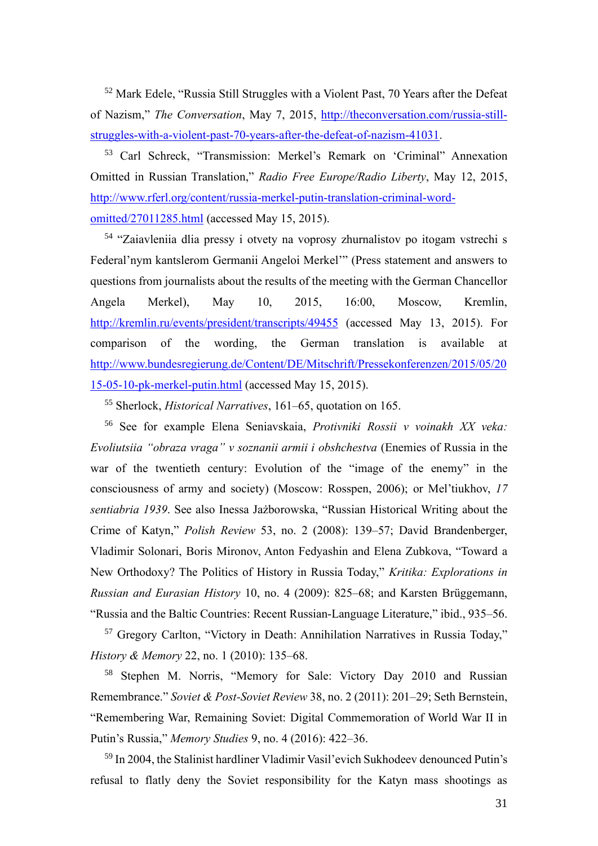<sup>52</sup> Mark Edele, "Russia Still Struggles with a Violent Past, 70 Years after the Defeat of Nazism," *The Conversation*, May 7, 2015, [http://theconversation.com/russia-still](http://theconversation.com/russia-still-struggles-with-a-violent-past-70-years-after-the-defeat-of-nazism-41031)[struggles-with-a-violent-past-70-years-after-the-defeat-of-nazism-41031.](http://theconversation.com/russia-still-struggles-with-a-violent-past-70-years-after-the-defeat-of-nazism-41031)

<sup>53</sup> Carl Schreck, "Transmission: Merkel's Remark on 'Criminal" Annexation Omitted in Russian Translation," *Radio Free Europe/Radio Liberty*, May 12, 2015, [http://www.rferl.org/content/russia-merkel-putin-translation-criminal-word](http://www.rferl.org/content/russia-merkel-putin-translation-criminal-word-omitted/27011285.html)[omitted/27011285.html](http://www.rferl.org/content/russia-merkel-putin-translation-criminal-word-omitted/27011285.html) (accessed May 15, 2015).

<sup>54</sup> "Zaiavleniia dlia pressy i otvety na voprosy zhurnalistov po itogam vstrechi s Federal'nym kantslerom Germanii Angeloi Merkel'" (Press statement and answers to questions from journalists about the results of the meeting with the German Chancellor Angela Merkel), May 10, 2015, 16:00, Moscow, Kremlin, <http://kremlin.ru/events/president/transcripts/49455> (accessed May 13, 2015). For comparison of the wording, the German translation is available at [http://www.bundesregierung.de/Content/DE/Mitschrift/Pressekonferenzen/2015/05/20](http://www.bundesregierung.de/Content/DE/Mitschrift/Pressekonferenzen/2015/05/2015-05-10-pk-merkel-putin.html) [15-05-10-pk-merkel-putin.html](http://www.bundesregierung.de/Content/DE/Mitschrift/Pressekonferenzen/2015/05/2015-05-10-pk-merkel-putin.html) (accessed May 15, 2015).

<sup>55</sup> Sherlock, *Historical Narratives*, 161–65, quotation on 165.

<sup>56</sup> See for example Elena Seniavskaia, *Protivniki Rossii v voinakh XX veka: Evoliutsiia "obraza vraga" v soznanii armii i obshchestva* (Enemies of Russia in the war of the twentieth century: Evolution of the "image of the enemy" in the consciousness of army and society) (Moscow: Rosspen, 2006); or Mel'tiukhov, *17 sentiabria 1939*. See also Inessa Jażborowska, "Russian Historical Writing about the Crime of Katyn," *Polish Review* 53, no. 2 (2008): 139–57; David Brandenberger, Vladimir Solonari, Boris Mironov, Anton Fedyashin and Elena Zubkova, "Toward a New Orthodoxy? The Politics of History in Russia Today," *Kritika: Explorations in Russian and Eurasian History* 10, no. 4 (2009): 825–68; and Karsten Brüggemann, "Russia and the Baltic Countries: Recent Russian-Language Literature," ibid., 935–56.

<sup>57</sup> Gregory Carlton, "Victory in Death: Annihilation Narratives in Russia Today," *History & Memory* 22, no. 1 (2010): 135–68.

<sup>58</sup> Stephen M. Norris, "Memory for Sale: Victory Day 2010 and Russian Remembrance." *Soviet & Post-Soviet Review* 38, no. 2 (2011): 201–29; Seth Bernstein, "Remembering War, Remaining Soviet: Digital Commemoration of World War II in Putin's Russia," *Memory Studies* 9, no. 4 (2016): 422–36.

<sup>59</sup> In 2004, the Stalinist hardliner Vladimir Vasil'evich Sukhodeev denounced Putin's refusal to flatly deny the Soviet responsibility for the Katyn mass shootings as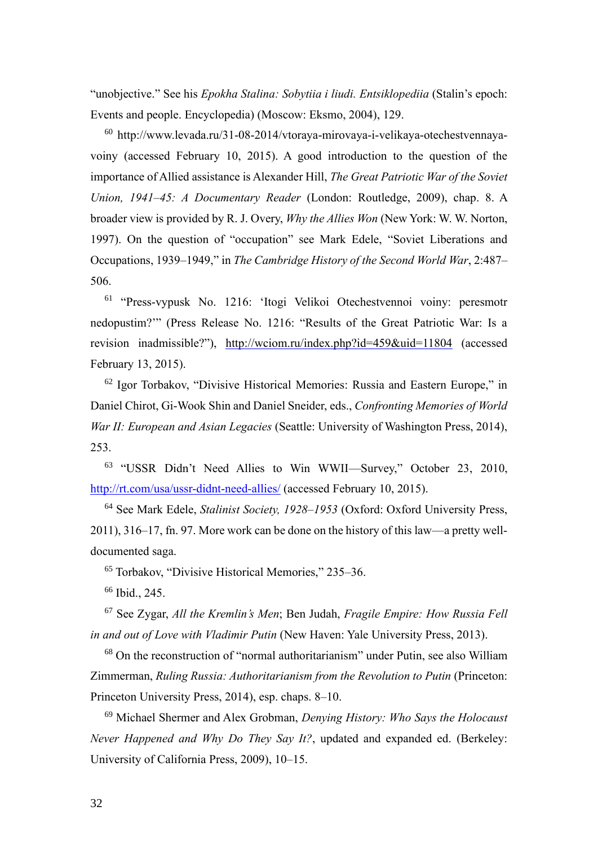"unobjective." See his *Epokha Stalina: Sobytiia i liudi. Entsiklopediia* (Stalin's epoch: Events and people. Encyclopedia) (Moscow: Eksmo, 2004), 129.

<sup>60</sup> http://www.levada.ru/31-08-2014/vtoraya-mirovaya-i-velikaya-otechestvennayavoiny (accessed February 10, 2015). A good introduction to the question of the importance of Allied assistance is Alexander Hill, *The Great Patriotic War of the Soviet Union, 1941–45: A Documentary Reader* (London: Routledge, 2009), chap. 8. A broader view is provided by R. J. Overy, *Why the Allies Won* (New York: W. W. Norton, 1997). On the question of "occupation" see Mark Edele, "Soviet Liberations and Occupations, 1939–1949," in *The Cambridge History of the Second World War*, 2:487– 506.

<sup>61</sup> "Press-vypusk No. 1216: 'Itogi Velikoi Otechestvennoi voiny: peresmotr nedopustim?'" (Press Release No. 1216: "Results of the Great Patriotic War: Is a revision inadmissible?"), <http://wciom.ru/index.php?id=459&uid=11804> (accessed February 13, 2015).

<sup>62</sup> Igor Torbakov, "Divisive Historical Memories: Russia and Eastern Europe," in Daniel Chirot, Gi-Wook Shin and Daniel Sneider, eds., *Confronting Memories of World War II: European and Asian Legacies* (Seattle: University of Washington Press, 2014), 253.

<sup>63</sup> "USSR Didn't Need Allies to Win WWII—Survey," October 23, 2010, <http://rt.com/usa/ussr-didnt-need-allies/> (accessed February 10, 2015).

<sup>64</sup> See Mark Edele, *Stalinist Society, 1928–1953* (Oxford: Oxford University Press, 2011), 316–17, fn. 97. More work can be done on the history of this law—a pretty welldocumented saga.

<sup>65</sup> Torbakov, "Divisive Historical Memories," 235–36.

<sup>66</sup> Ibid., 245.

<sup>67</sup> See Zygar, *All the Kremlin's Men*; Ben Judah, *Fragile Empire: How Russia Fell in and out of Love with Vladimir Putin* (New Haven: Yale University Press, 2013).

<sup>68</sup> On the reconstruction of "normal authoritarianism" under Putin, see also William Zimmerman, *Ruling Russia: Authoritarianism from the Revolution to Putin* (Princeton: Princeton University Press, 2014), esp. chaps. 8–10.

<sup>69</sup> Michael Shermer and Alex Grobman, *Denying History: Who Says the Holocaust Never Happened and Why Do They Say It?*, updated and expanded ed. (Berkeley: University of California Press, 2009), 10–15.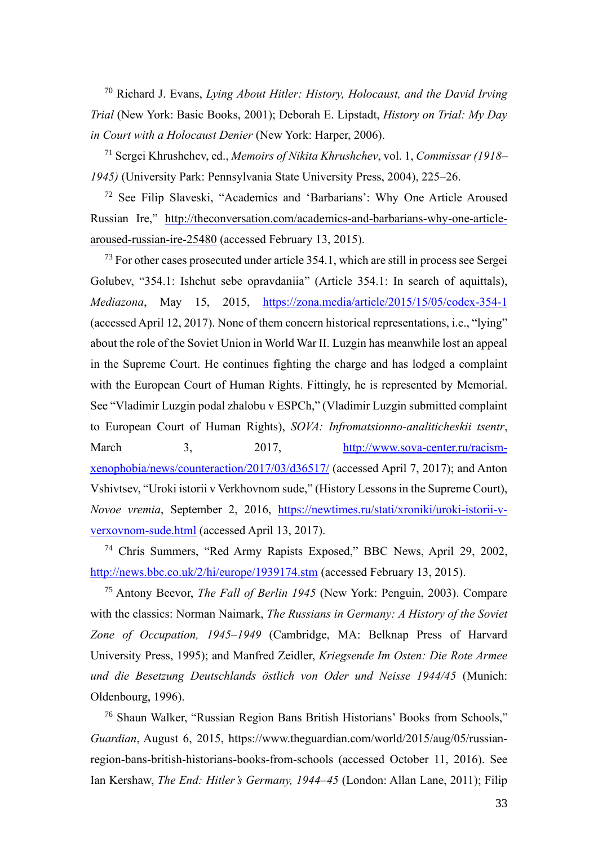<sup>70</sup> Richard J. Evans, *Lying About Hitler: History, Holocaust, and the David Irving Trial* (New York: Basic Books, 2001); Deborah E. Lipstadt, *History on Trial: My Day in Court with a Holocaust Denier* (New York: Harper, 2006).

<sup>71</sup> Sergei Khrushchev, ed., *Memoirs of Nikita Khrushchev*, vol. 1, *Commissar (1918– 1945)* (University Park: Pennsylvania State University Press, 2004), 225–26.

<sup>72</sup> See Filip Slaveski, "Academics and 'Barbarians': Why One Article Aroused Russian Ire," [http://theconversation.com/academics-and-barbarians-why-one-article](http://theconversation.com/academics-and-barbarians-why-one-article-aroused-russian-ire-25480)[aroused-russian-ire-25480](http://theconversation.com/academics-and-barbarians-why-one-article-aroused-russian-ire-25480) (accessed February 13, 2015).

 $^{73}$  For other cases prosecuted under article 354.1, which are still in process see Sergei Golubev, "354.1: Ishchut sebe opravdaniia" (Article 354.1: In search of aquittals), *Mediazona*, May 15, 2015, <https://zona.media/article/2015/15/05/codex-354-1> (accessed April 12, 2017). None of them concern historical representations, i.e., "lying" about the role of the Soviet Union in World War II. Luzgin has meanwhile lost an appeal in the Supreme Court. He continues fighting the charge and has lodged a complaint with the European Court of Human Rights. Fittingly, he is represented by Memorial. See "Vladimir Luzgin podal zhalobu v ESPCh," (Vladimir Luzgin submitted complaint to European Court of Human Rights), *SOVA: Infromatsionno-analiticheskii tsentr*, March 3, 2017, [http://www.sova-center.ru/racism](http://www.sova-center.ru/racism-xenophobia/news/counteraction/2017/03/d36517/)[xenophobia/news/counteraction/2017/03/d36517/](http://www.sova-center.ru/racism-xenophobia/news/counteraction/2017/03/d36517/) (accessed April 7, 2017); and Anton Vshivtsev, "Uroki istorii v Verkhovnom sude," (History Lessons in the Supreme Court), *Novoe vremia*, September 2, 2016, [https://newtimes.ru/stati/xroniki/uroki-istorii-v](https://newtimes.ru/stati/xroniki/uroki-istorii-v-verxovnom-sude.html)[verxovnom-sude.html](https://newtimes.ru/stati/xroniki/uroki-istorii-v-verxovnom-sude.html) (accessed April 13, 2017).

<sup>74</sup> Chris Summers, "Red Army Rapists Exposed," BBC News, April 29, 2002, <http://news.bbc.co.uk/2/hi/europe/1939174.stm> (accessed February 13, 2015).

<sup>75</sup> Antony Beevor, *The Fall of Berlin 1945* (New York: Penguin, 2003). Compare with the classics: Norman Naimark, *The Russians in Germany: A History of the Soviet Zone of Occupation, 1945–1949* (Cambridge, MA: Belknap Press of Harvard University Press, 1995); and Manfred Zeidler, *Kriegsende Im Osten: Die Rote Armee und die Besetzung Deutschlands östlich von Oder und Neisse 1944/45* (Munich: Oldenbourg, 1996).

<sup>76</sup> Shaun Walker, "Russian Region Bans British Historians' Books from Schools," *Guardian*, August 6, 2015, https://www.theguardian.com/world/2015/aug/05/russianregion-bans-british-historians-books-from-schools (accessed October 11, 2016). See Ian Kershaw, *The End: Hitler's Germany, 1944–45* (London: Allan Lane, 2011); Filip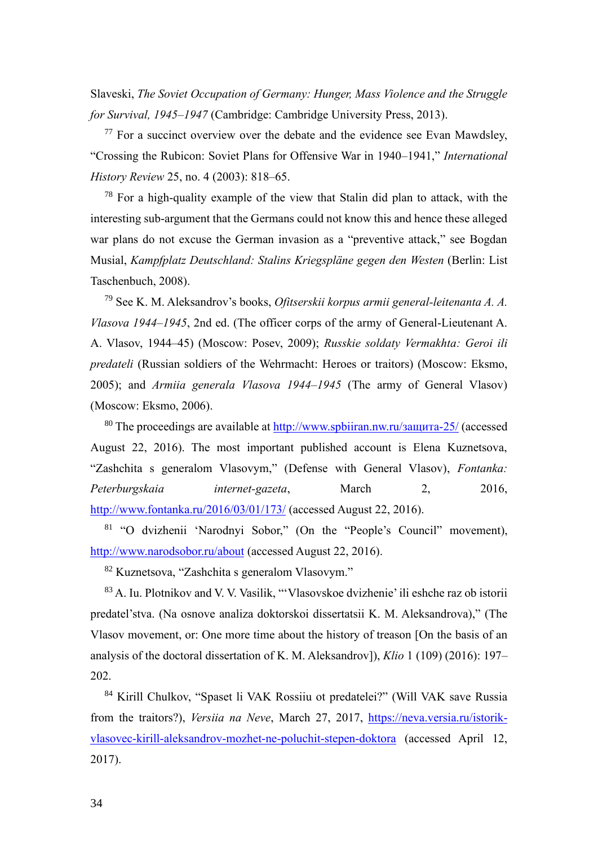Slaveski, *The Soviet Occupation of Germany: Hunger, Mass Violence and the Struggle for Survival, 1945–1947* (Cambridge: Cambridge University Press, 2013).

 $77$  For a succinct overview over the debate and the evidence see Evan Mawdsley, "Crossing the Rubicon: Soviet Plans for Offensive War in 1940–1941," *International History Review* 25, no. 4 (2003): 818–65.

 $78$  For a high-quality example of the view that Stalin did plan to attack, with the interesting sub-argument that the Germans could not know this and hence these alleged war plans do not excuse the German invasion as a "preventive attack," see Bogdan Musial, *Kampfplatz Deutschland: Stalins Kriegspläne gegen den Westen* (Berlin: List Taschenbuch, 2008).

<sup>79</sup> See K. M. Aleksandrov's books, *Ofitserskii korpus armii general-leitenanta A. A. Vlasova 1944–1945*, 2nd ed. (The officer corps of the army of General-Lieutenant A. A. Vlasov, 1944–45) (Moscow: Posev, 2009); *Russkie soldaty Vermakhta: Geroi ili predateli* (Russian soldiers of the Wehrmacht: Heroes or traitors) (Moscow: Eksmo, 2005); and *Armiia generala Vlasova 1944–1945* (The army of General Vlasov) (Moscow: Eksmo, 2006).

<sup>80</sup> The proceedings are available at  $\frac{http://www.spbiiran.nw.ru/3aIII/17a-25}{amp;100}$  (accessed August 22, 2016). The most important published account is Elena Kuznetsova, "Zashchita s generalom Vlasovym," (Defense with General Vlasov), *Fontanka: Peterburgskaia internet-gazeta*, March 2, 2016, <http://www.fontanka.ru/2016/03/01/173/> (accessed August 22, 2016).

<sup>81</sup> "O dvizhenii 'Narodnyi Sobor," (On the "People's Council" movement), <http://www.narodsobor.ru/about> (accessed August 22, 2016).

<sup>82</sup> Kuznetsova, "Zashchita s generalom Vlasovym."

<sup>83</sup> A. Iu. Plotnikov and V. V. Vasilik, "'Vlasovskoe dvizhenie' ili eshche raz ob istorii predatel'stva. (Na osnove analiza doktorskoi dissertatsii K. M. Aleksandrova)," (The Vlasov movement, or: One more time about the history of treason [On the basis of an analysis of the doctoral dissertation of K. M. Aleksandrov]), *Klio* 1 (109) (2016): 197– 202.

<sup>84</sup> Kirill Chulkov, "Spaset li VAK Rossiiu ot predatelei?" (Will VAK save Russia from the traitors?), *Versiia na Neve*, March 27, 2017, [https://neva.versia.ru/istorik](https://neva.versia.ru/istorik-vlasovec-kirill-aleksandrov-mozhet-ne-poluchit-stepen-doktora)[vlasovec-kirill-aleksandrov-mozhet-ne-poluchit-stepen-doktora](https://neva.versia.ru/istorik-vlasovec-kirill-aleksandrov-mozhet-ne-poluchit-stepen-doktora) (accessed April 12, 2017).